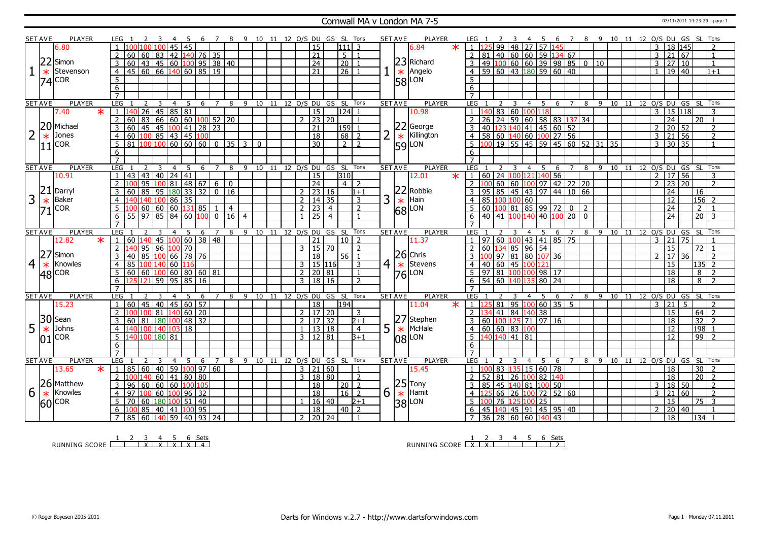### Cornwall MA v London MA 7-5 07/11/2011 14:23:29 - page 1

|                | <b>SET AVE</b> | <b>PLAYER</b>             |                     |                                              |              |                                       |                |              | - 6 |         | $\overline{7}$ |                                                        |                |              |    |              |                  |                     | 8 9 10 11 12 O/S DU GS SL Tons |                | <b>SET AVE</b> |        | PLAYER          |        | LEG                       |                                     |                |   |                | - 5         |                                                         |                                         |                |     | 6 7 8 9 10 11 12 O/S DU GS SL Tons |       |  |                |                     |       |                                                            |                |  |
|----------------|----------------|---------------------------|---------------------|----------------------------------------------|--------------|---------------------------------------|----------------|--------------|-----|---------|----------------|--------------------------------------------------------|----------------|--------------|----|--------------|------------------|---------------------|--------------------------------|----------------|----------------|--------|-----------------|--------|---------------------------|-------------------------------------|----------------|---|----------------|-------------|---------------------------------------------------------|-----------------------------------------|----------------|-----|------------------------------------|-------|--|----------------|---------------------|-------|------------------------------------------------------------|----------------|--|
|                |                | 6.80                      |                     |                                              |              |                                       | 45             | 45           |     |         |                |                                                        |                |              |    |              | 15               |                     | l1 1 1 l                       | 3              |                |        | 6.84            | $\ast$ |                           |                                     |                |   |                |             | 99 48 27 57 145                                         |                                         |                |     |                                    |       |  | 3              | 18 145              |       |                                                            |                |  |
|                |                |                           | 2                   | 60   60   83   42   140   76   35            |              |                                       |                |              |     |         |                |                                                        |                |              |    |              | $\overline{21}$  |                     | 5 <sup>1</sup>                 | $\overline{1}$ |                |        |                 |        |                           | 81                                  |                |   |                |             |                                                         | $140$ 60 60 59 134 67                   |                |     |                                    |       |  | $\overline{3}$ | 21 67               |       |                                                            | $\mathbf{1}$   |  |
|                | 22             | Simon                     |                     |                                              |              |                                       |                |              |     |         |                |                                                        |                |              |    |              |                  |                     |                                |                |                |        | 23 Richard      |        |                           |                                     |                |   |                |             |                                                         |                                         |                |     |                                    |       |  |                |                     |       |                                                            |                |  |
|                |                |                           | 3                   | $60$ 43 45 60 100 95 38 40                   |              |                                       |                |              |     |         |                |                                                        |                |              |    |              | 24               |                     | 20                             |                |                |        |                 |        | 3                         |                                     |                |   |                |             |                                                         | 49 100 60 60 39 98 85 0 10              |                |     |                                    |       |  | $\mathbf{3}$   | 27 10               |       |                                                            | $\overline{1}$ |  |
|                | $\ast$         | Stevenson                 | $\overline{4}$      | 45 60 66 140 60 85 19                        |              |                                       |                |              |     |         |                |                                                        |                |              |    |              | $\overline{21}$  |                     | $\overline{26}$                |                |                |        | $\star$ Angelo  |        |                           |                                     |                |   |                |             |                                                         | 59 60 43 180 59 60 40                   |                |     |                                    |       |  |                | 19 40               |       |                                                            | $1 + 1$        |  |
|                |                | $ 74 $ COR                | 5                   |                                              |              |                                       |                |              |     |         |                |                                                        |                |              |    |              |                  |                     |                                |                |                |        | $ 58 $ LON      |        | 5                         |                                     |                |   |                |             |                                                         |                                         |                |     |                                    |       |  |                |                     |       |                                                            |                |  |
|                |                |                           | 6                   |                                              |              |                                       |                |              |     |         |                |                                                        |                |              |    |              |                  |                     |                                |                |                |        |                 |        | $6\overline{6}$           |                                     |                |   |                |             |                                                         |                                         |                |     |                                    |       |  |                |                     |       |                                                            |                |  |
|                |                |                           | $\overline{7}$      |                                              |              |                                       |                |              |     |         |                |                                                        |                |              |    |              |                  |                     |                                |                |                |        |                 |        |                           |                                     |                |   |                |             |                                                         |                                         |                |     |                                    |       |  |                |                     |       |                                                            |                |  |
|                | <b>SET AVE</b> | <b>PLAYER</b>             | LEG                 | 2                                            |              | 3                                     | $\overline{4}$ | 5            | 6   |         | $\overline{7}$ | 8                                                      | 9              | 10           | 11 |              |                  |                     | 12 O/S DU GS SL Tons           |                | <b>SET AVE</b> |        | <b>PLAYER</b>   |        | LEG                       |                                     | $\overline{2}$ | 3 | $\overline{4}$ | 5           |                                                         | $6 \overline{7}$                        | 8              |     | 9 10 11 12 O/S DU GS SL Tons       |       |  |                |                     |       |                                                            |                |  |
|                |                | $\overline{\ast}$<br>7.40 | $\mathbf{1}$        | $\overline{26}$                              |              | $145 \mid 85 \mid 81$                 |                |              |     |         |                |                                                        |                |              |    |              | $\overline{15}$  |                     | 124                            |                |                |        | 10.98           |        |                           | 40                                  |                |   | 83 60 100 118  |             |                                                         |                                         |                |     |                                    |       |  | $\overline{3}$ | 15 118              |       |                                                            | 3              |  |
|                |                |                           | $\overline{2}$      | 60                                           |              | 83   66   60   60   100   52   20     |                |              |     |         |                |                                                        |                |              |    |              |                  | $2 \mid 23 \mid 20$ |                                | $\overline{1}$ |                |        |                 |        | $\overline{2}$            | $\overline{26}$                     |                |   |                |             |                                                         | 24 59 60 58 83 137 34                   |                |     |                                    |       |  |                | $\overline{24}$     |       | 20 1                                                       |                |  |
|                | 20             | Michael                   | 3                   | 60                                           |              | 45 45 100 41                          |                |              |     | 28   23 |                |                                                        |                |              |    |              | 21               |                     | 159                            |                |                |        | 22 George       |        | 3                         | 40 <sup>1</sup>                     |                |   |                |             |                                                         | 123 140 41 45 60 52                     |                |     |                                    |       |  | $\overline{2}$ | 20 52               |       |                                                            | $\mathcal{L}$  |  |
|                | $\ast$         | Jones                     | $\overline{4}$      | 60 100 85 43 45 100                          |              |                                       |                |              |     |         |                |                                                        |                |              |    |              | $\overline{18}$  |                     | 68                             | $\overline{z}$ | 2              | $\ast$ | Killington      |        | $\overline{4}$            |                                     |                |   |                |             |                                                         | 58 60 140 60 100 27 56                  |                |     |                                    |       |  | $\overline{3}$ | $\overline{21}$ 56  |       |                                                            | $\overline{2}$ |  |
|                |                | <b>COR</b>                | 5                   | $81$ $100$ $100$ $60$ $60$ $60$ $0$ $35$ $3$ |              |                                       |                |              |     |         |                |                                                        |                | $\mathbf{0}$ |    |              | $\overline{30}$  |                     | $2\sqrt{2}$                    |                |                |        | $ 59 $ LON      |        | 5                         |                                     |                |   |                |             |                                                         | 100 19 55 45 59 45 60 52 31 35          |                |     |                                    |       |  |                | $3 \mid 30 \mid 35$ |       |                                                            | $\overline{1}$ |  |
|                | 11             |                           | 6                   |                                              |              |                                       |                |              |     |         |                |                                                        |                |              |    |              |                  |                     |                                |                |                |        |                 |        | 6                         |                                     |                |   |                |             |                                                         |                                         |                |     |                                    |       |  |                |                     |       |                                                            |                |  |
|                |                |                           | $\overline{7}$      |                                              |              |                                       |                |              |     |         |                |                                                        |                |              |    |              |                  |                     |                                |                |                |        |                 |        |                           |                                     |                |   |                |             |                                                         |                                         |                |     |                                    |       |  |                |                     |       |                                                            |                |  |
|                | <b>SET AVE</b> | <b>PLAYER</b>             | LEG <sub>1</sub>    |                                              |              |                                       | $\overline{4}$ | -5           | 6   |         | $\overline{7}$ | 8                                                      | 9              | 10           | 11 |              |                  |                     | 12 O/S DU GS SL Tons           |                | <b>SET AVE</b> |        | <b>PLAYER</b>   |        | LEG                       |                                     |                |   | $\overline{4}$ |             | 6                                                       | $\overline{7}$                          | 8              | -9  |                                    | 10 11 |  |                |                     |       | 12 O/S DU GS SL Tons                                       |                |  |
|                |                | 10.91                     | $\overline{1}$      | 43   43   40   24   41                       |              |                                       |                |              |     |         |                |                                                        |                |              |    |              | 15               |                     | 310                            |                |                |        | 12.01           | $\ast$ | $\cup$ <sup>1</sup>       |                                     |                |   |                |             | 60   24   <mark>100</mark>   121   140   56             |                                         |                |     |                                    |       |  |                | 2   17   56         |       |                                                            | 3              |  |
|                |                |                           |                     | 95                                           |              | $10081$ 48 67                         |                |              |     |         | 6              | $\mathbf{0}$                                           |                |              |    |              | 24               |                     | 4 <sup>1</sup>                 | $\mathcal{P}$  |                |        |                 |        | $\overline{2}$            | 1 በበ                                |                |   |                |             |                                                         | $60$ 60 $100$ 97 42 22 20               |                |     |                                    |       |  | $\overline{2}$ | 23 20               |       |                                                            | $\overline{z}$ |  |
|                | 21             | Darryl                    |                     | 60                                           |              | 85 95 180 33                          |                |              | 32  |         |                | $\begin{array}{ c c c c c } \hline 0 & 16 \end{array}$ |                |              |    |              |                  | $2 \mid 23 \mid 16$ |                                | 1+1            |                |        | 22 Robbie       |        |                           |                                     |                |   |                |             |                                                         | 95   85   45   43   97   44   10   66   |                |     |                                    |       |  |                | 24                  |       | 16                                                         |                |  |
| 3              |                | Baker                     |                     | 140 140 100 86 35                            |              |                                       |                |              |     |         |                |                                                        |                |              |    |              |                  |                     |                                | $\mathbf{3}$   |                |        | Hain            |        |                           |                                     |                |   |                |             |                                                         |                                         |                |     |                                    |       |  |                | 12                  |       | $156$ <sup>2</sup>                                         |                |  |
|                | $\ast$         |                           | $\overline{4}$      |                                              |              |                                       |                |              |     |         |                |                                                        |                |              |    |              |                  | $2 \mid 14 \mid 35$ |                                |                | 3              | $\ast$ |                 |        | 4                         | 85 100 100 60                       |                |   |                |             |                                                         |                                         |                |     |                                    |       |  |                |                     |       |                                                            |                |  |
|                | 71             | <b>COR</b>                | 5                   | 100 60 60 60 131 85                          |              |                                       |                |              |     |         | $\mathbf{1}$   | $\overline{4}$                                         |                |              |    |              | 2 23             | $\overline{4}$      |                                | 2              |                |        | $ 68 $ LON      |        |                           |                                     |                |   |                |             | $60 \overline{100} 81 \overline{85} 99 \overline{72} 0$ |                                         | $\overline{2}$ |     |                                    |       |  |                | 24                  |       | $\overline{2}$                                             |                |  |
|                |                |                           |                     | $6$ 55 97 85 84 60 100 0 16                  |              |                                       |                |              |     |         |                |                                                        | $\overline{4}$ |              |    |              | $1 \mid 25 \mid$ | $\overline{4}$      |                                |                |                |        |                 |        | $6\overline{}$            |                                     |                |   |                |             |                                                         | 40 41 100 140 40 100 20 0               |                |     |                                    |       |  |                | $\overline{24}$     |       | $\overline{20}$ 3                                          |                |  |
|                |                |                           |                     |                                              |              |                                       |                |              |     |         |                |                                                        |                |              |    |              |                  |                     |                                |                |                |        |                 |        | $\overline{7}$            |                                     |                |   |                |             |                                                         |                                         |                |     |                                    |       |  |                |                     |       |                                                            |                |  |
|                |                |                           |                     |                                              |              |                                       |                |              |     |         |                |                                                        |                |              |    |              |                  |                     |                                |                |                |        |                 |        | <b>LEG</b>                |                                     |                |   |                | -5          | 6                                                       |                                         |                |     |                                    |       |  | 12 0/S DU      |                     | GS SL |                                                            | Tons           |  |
|                | <b>SET AVE</b> | <b>PLAYER</b>             | LEG                 |                                              | 3            |                                       | 4              | -5           | 6   |         | 7              | 8                                                      | 9              | 10           | 11 |              | 12 0/S DU        | GS                  | - SL                           | Tons           | <b>SET AVE</b> |        | <b>PLAYER</b>   |        |                           |                                     |                |   |                |             |                                                         |                                         | 8              | 9   | 10                                 | - 11  |  |                |                     |       |                                                            |                |  |
|                |                | 12.82<br>$\star$          | $\overline{1}$      | 60   140   45   100   60                     |              |                                       |                |              |     | 38 48   |                |                                                        |                |              |    |              | $\overline{21}$  |                     | 10                             | $\overline{z}$ |                |        | 11.37           |        |                           |                                     |                |   |                |             |                                                         | 97   60   100   43   41   85   75       |                |     |                                    |       |  | 3              | $21 \mid 75$        |       |                                                            |                |  |
|                |                |                           | $\overline{2}$      | 140                                          |              | 95 96 100 70                          |                |              |     |         |                |                                                        |                |              |    |              |                  | $3 \mid 15 \mid 70$ |                                | $\overline{2}$ |                |        |                 |        | $\mathcal{L}$             | 60 134                              |                |   | 85 96 54       |             |                                                         |                                         |                |     |                                    |       |  |                | 15 <sup>2</sup>     |       | $72$ 1                                                     |                |  |
|                | 27             | Simon                     | 3                   | 40                                           |              | 85 100 66 78 76                       |                |              |     |         |                |                                                        |                |              |    |              | 18               |                     | 56                             |                |                |        | $26$ Chris      |        |                           |                                     |                |   |                |             | 100 97 81 80 107 36                                     |                                         |                |     |                                    |       |  | $\overline{2}$ | 17                  | 36    |                                                            | $\overline{z}$ |  |
| $\overline{4}$ | $\ast$         | Knowles                   | $\overline{4}$      | 85   100   140   60   116                    |              |                                       |                |              |     |         |                |                                                        |                |              |    |              |                  | 3   15   116        |                                | 3              | $\overline{4}$ |        | $\star$ Stevens |        | $\overline{4}$            | 40 60 45 100 121                    |                |   |                |             |                                                         |                                         |                |     |                                    |       |  |                | $\overline{15}$     |       | $135$ 2                                                    |                |  |
|                |                |                           | 5 <sup>2</sup>      | 60   60   100   60   80   60   81            |              |                                       |                |              |     |         |                |                                                        |                |              |    |              |                  | $2 \mid 20 \mid 81$ |                                | $\overline{1}$ |                |        |                 |        | 5                         |                                     |                |   |                |             | 97 81 100 100 98 17                                     |                                         |                |     |                                    |       |  |                | $\overline{18}$     |       | $8 \mid 2$                                                 |                |  |
|                |                | $ 48 $ COR                | 6                   | $125$ 121 59 95 85 16                        |              |                                       |                |              |     |         |                |                                                        |                |              |    |              |                  | 3 18 16             |                                | $\overline{2}$ |                |        | $ 76 $ LON      |        | 6                         |                                     |                |   |                |             | 54 60 140 135 80 24                                     |                                         |                |     |                                    |       |  |                | $\overline{18}$     |       | $8 \mid 2$                                                 |                |  |
|                |                |                           |                     |                                              |              |                                       |                |              |     |         |                |                                                        |                |              |    |              |                  |                     |                                |                |                |        |                 |        |                           |                                     |                |   |                |             |                                                         |                                         |                |     |                                    |       |  |                |                     |       |                                                            |                |  |
|                | <b>SET AVE</b> | PLAYER                    | LEG 1               |                                              |              | 3                                     | 4              | -5           | -6  |         | $\overline{7}$ | 8                                                      | 9              | 10           |    |              |                  | 11 12 O/S DU GS SL  |                                | Tons           | <b>SET AVE</b> |        | <b>PLAYER</b>   |        | <b>LEG</b>                |                                     |                |   |                | $4 \quad 5$ | 6                                                       | 7                                       | 8              | - 9 | 10 11 12 O/S DU GS SL Tons         |       |  |                |                     |       |                                                            |                |  |
|                |                | 15.23                     |                     | 45<br>60                                     |              | 40   45   60   57                     |                |              |     |         |                |                                                        |                |              |    |              | $\overline{18}$  |                     | 194                            |                |                |        | 11.04           | $\ast$ |                           |                                     |                |   |                |             | $81$   95   100   60   35   5                           |                                         |                |     |                                    |       |  | 3              | $\overline{21}$     | 5     |                                                            |                |  |
|                |                |                           |                     |                                              |              | $\sqrt{81}$ 140 60 20                 |                |              |     |         |                |                                                        |                |              |    |              | 2   17   20      |                     |                                | 3              |                |        |                 |        | $\overline{2}$            | 34                                  |                |   | 41 84 140 38   |             |                                                         |                                         |                |     |                                    |       |  |                | 15                  |       | $64$   2                                                   |                |  |
|                | 30             | Sean                      | 3                   | 60   81   180   100   48   32                |              |                                       |                |              |     |         |                |                                                        |                |              |    |              |                  | 2   17   32         |                                | $2 + 1$        |                |        | 27 Stephen      |        | 3                         |                                     |                |   |                |             | 60 100 125 71 97 16                                     |                                         |                |     |                                    |       |  |                | 18                  |       |                                                            |                |  |
|                |                | Johns                     | 4                   |                                              |              |                                       |                |              |     |         |                |                                                        |                |              |    | $\mathbf{1}$ |                  | 13   18             |                                | $\overline{4}$ |                |        |                 |        | $\overline{4}$            |                                     |                |   |                |             |                                                         |                                         |                |     |                                    |       |  |                | 12                  |       | $32 \mid 2$                                                |                |  |
| 5              | $\ast$         |                           | 5 <sup>5</sup>      | 140 100 140 103 18<br>140 100 180 81         |              |                                       |                |              |     |         |                |                                                        |                |              |    |              |                  | 3 12 81             |                                | l3+1           | 5              |        | $\star$ McHale  |        | 5 <sup>5</sup>            | 60   60   83   100<br>140 140 41 81 |                |   |                |             |                                                         |                                         |                |     |                                    |       |  |                | 12                  |       | $198$ 1<br>$99$   2                                        |                |  |
|                |                | COR                       |                     |                                              |              |                                       |                |              |     |         |                |                                                        |                |              |    |              |                  |                     |                                |                |                |        | $ 08 $ LON      |        |                           |                                     |                |   |                |             |                                                         |                                         |                |     |                                    |       |  |                |                     |       |                                                            |                |  |
|                |                |                           | 6<br>$\overline{7}$ |                                              |              |                                       |                |              |     |         |                |                                                        |                |              |    |              |                  |                     |                                |                |                |        |                 |        | 6                         |                                     |                |   |                |             |                                                         |                                         |                |     |                                    |       |  |                |                     |       |                                                            |                |  |
|                |                |                           |                     |                                              |              |                                       |                |              |     |         |                |                                                        |                |              |    |              |                  |                     |                                |                |                |        |                 |        | $\overline{7}$            |                                     |                |   |                |             |                                                         |                                         |                |     |                                    |       |  |                |                     |       |                                                            |                |  |
|                | <b>SET AVE</b> | <b>PLAYER</b>             | LEG                 | $\mathcal{L}$                                | 3            |                                       | $\overline{4}$ | 5            | 6   |         | 7              | 8                                                      |                | 9 10         | 11 |              |                  |                     | 12 O/S DU GS SL Tons           |                | <b>SET AVE</b> |        | <b>PLAYER</b>   |        | <b>LEG</b>                |                                     |                |   |                | 4 5         | 6                                                       | $\overline{7}$                          | 8              |     | 9 10 11 12 O/S DU GS SL Tons       |       |  |                |                     |       |                                                            |                |  |
|                |                | 13.65<br>$\ast$           | $\vert 1 \vert$     | $\boxed{60}$<br>l 85                         | $ 40\rangle$ |                                       |                | 59 100 97 60 |     |         |                |                                                        |                |              |    |              |                  | $3 \mid 21 \mid 60$ |                                | $\overline{1}$ |                |        | 15.45           |        | $\overline{1}$            | 100                                 |                |   |                |             | 83 135 15 60 78                                         |                                         |                |     |                                    |       |  |                | 18                  |       | $30 \mid 2$                                                |                |  |
|                |                |                           | $\overline{2}$      |                                              |              | 140   60   41   80   80               |                |              |     |         |                |                                                        |                |              |    |              |                  | 3   18   80         |                                | 2              |                |        |                 |        | $\overline{2}$            | 52                                  |                |   |                |             | 81 26 100 82 140                                        |                                         |                |     |                                    |       |  |                | $\overline{18}$     |       | $\boxed{20}$ $\boxed{2}$                                   |                |  |
|                |                | 26 Matthew                | 3                   | l 96                                         |              | 60   60   60   <mark>100</mark>   105 |                |              |     |         |                |                                                        |                |              |    |              | 18               |                     | 20 <sub>1</sub>                | $\overline{2}$ |                |        | $ 25 $ Tony     |        |                           | 85                                  |                |   |                |             | 45   140   81   100   50                                |                                         |                |     |                                    |       |  | 3              | 18 50               |       |                                                            | $\overline{z}$ |  |
| 6              | $\ast$         | Knowles                   | $\overline{4}$      | 97                                           |              | 60 100 96 32                          |                |              |     |         |                |                                                        |                |              |    |              | $\overline{18}$  |                     | 16                             | 2              | 6              |        | $\star$ Hamit   |        | 4                         | י כן                                |                |   |                |             |                                                         | $66$   26   100   72   52   60          |                |     |                                    |       |  | $\mathbf{3}$   | 21 60               |       |                                                            | $\overline{2}$ |  |
|                | 60             | <b>COR</b>                | 5                   | 70                                           |              |                                       |                |              |     |         |                |                                                        |                |              |    |              |                  | 16 40               |                                | $2+1$          |                |        |                 |        |                           | n                                   |                |   | 76 125 100 25  |             |                                                         |                                         |                |     |                                    |       |  |                | $\overline{15}$     |       | $75 \mid 3$                                                |                |  |
|                |                |                           |                     | 7 85 60 140 59 40 93 24                      |              | 85   40   41   100   95               |                |              |     |         |                |                                                        |                |              |    |              | $\overline{18}$  | $2 \mid 20 \mid 24$ | 40 l                           | $\overline{2}$ |                |        | $ 38 $ LON      |        | 6<br>7 36 28 60 60 140 43 | 45                                  |                |   |                |             |                                                         | <mark>140</mark> 45   91   45   95   40 |                |     |                                    |       |  | $\overline{2}$ | 20 40<br>18         |       | $\begin{array}{ c c c c c }\n\hline\n134 & 1\n\end{array}$ |                |  |

RUNNING SCORE 1 2 3 X 4 X 5 X 6 X Sets 4

RUNNING SCORE 1 X 2 X 3 4 5 6 Sets 2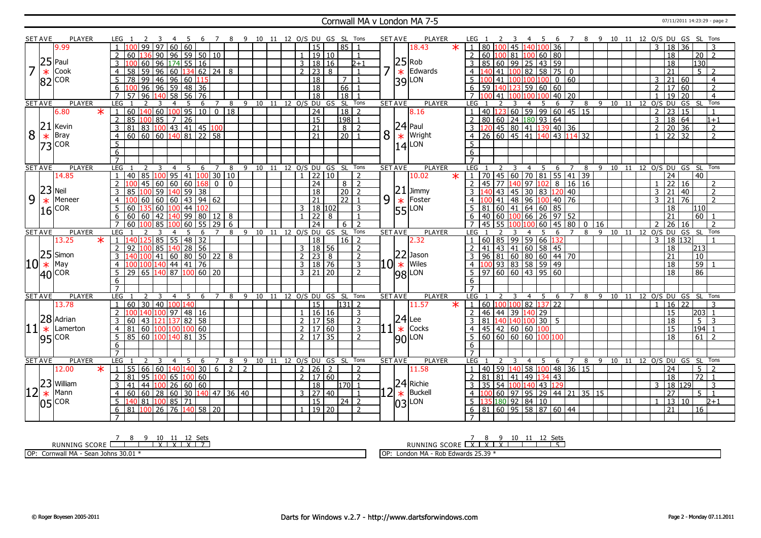#### Cornwall MA v London MA 7-5 07/11/2011 14:23:29 - page 2

|                | <b>SET AVE</b> | <b>PLAYER</b>             | LEG                 |                            |                 |                                                         |                     |                 |       |                 |                 |                     |   |               |       |     |           |                   |                              |                 | 8 9 10 11 12 O/S DU GS SL Tons |                     | <b>SET AVE</b>   |                | <b>PLAYER</b>                                             |        | LEG            |    |                            |         |            |                   | - 5                                   | 6               |                |                |     | 7 8 9 10 11 12 O/S DU GS SL Tons |    |    |                      |                |                 |                 |                 |                          |  |
|----------------|----------------|---------------------------|---------------------|----------------------------|-----------------|---------------------------------------------------------|---------------------|-----------------|-------|-----------------|-----------------|---------------------|---|---------------|-------|-----|-----------|-------------------|------------------------------|-----------------|--------------------------------|---------------------|------------------|----------------|-----------------------------------------------------------|--------|----------------|----|----------------------------|---------|------------|-------------------|---------------------------------------|-----------------|----------------|----------------|-----|----------------------------------|----|----|----------------------|----------------|-----------------|-----------------|-----------------|--------------------------|--|
|                |                | 9.99                      |                     |                            | $\overline{99}$ | 97                                                      | 60 60               |                 |       |                 |                 |                     |   |               |       |     |           |                   | $\overline{15}$              |                 | 85                             |                     |                  |                | 18.43                                                     | $\ast$ |                |    | 80 100                     |         | 45 140 100 |                   |                                       | $\overline{36}$ |                |                |     |                                  |    |    |                      | $\mathbf{3}$   | $\overline{18}$ | $\overline{36}$ |                 |                          |  |
|                |                |                           | 2                   | 60                         |                 | $\overline{90}$                                         | $96$ 59 50 10       |                 |       |                 |                 |                     |   |               |       |     |           |                   | 1   19   10                  |                 |                                | $\overline{1}$      |                  |                |                                                           |        | $\overline{2}$ |    |                            |         |            |                   | 60 100 81 100 60 80                   |                 |                |                |     |                                  |    |    |                      |                | $\overline{18}$ |                 | $\overline{20}$ | $\overline{2}$           |  |
|                | 25             | Paul                      |                     |                            |                 |                                                         |                     |                 |       |                 |                 |                     |   |               |       |     |           |                   |                              |                 |                                |                     |                  |                |                                                           |        |                |    |                            |         |            |                   |                                       |                 |                |                |     |                                  |    |    |                      |                |                 |                 |                 |                          |  |
| $\overline{7}$ |                |                           |                     |                            | 60              | 96 174 55 16                                            |                     |                 |       |                 |                 |                     |   |               |       |     |           |                   | 3   18   16                  |                 |                                | $2 + 1$             | 7                |                | $25$ Rob<br>$\ast$ Edw                                    |        | 3              |    |                            |         |            |                   | 85 60 99 25 43 59                     |                 |                |                |     |                                  |    |    |                      |                | 18              |                 | 130             |                          |  |
|                | $\ast$         | Cook                      |                     | 58                         | 59              | 96                                                      | 60                  |                 |       |                 |                 | $ 134 $ 62   24   8 |   |               |       |     |           | 2 23              |                              | 8               |                                |                     |                  |                | Edwards                                                   |        |                |    |                            |         | 82         |                   | 58                                    | 75              | $\overline{0}$ |                |     |                                  |    |    |                      |                | 21              |                 | 5               |                          |  |
|                | 82             | COR                       | 5                   | 78 99 46 96 60             |                 |                                                         |                     |                 |       | 115             |                 |                     |   |               |       |     |           |                   | 18                           |                 | $\overline{7}$                 |                     |                  | 39             | LON                                                       |        | 5              |    | 41                         |         |            |                   |                                       | $\mathbf 0$     | 60             |                |     |                                  |    |    |                      | 3              | 21 60           |                 |                 | $\overline{4}$           |  |
|                |                |                           | 6                   |                            | 96              | $\overline{96}$                                         | 59 48               |                 |       | 36              |                 |                     |   |               |       |     |           |                   | 18                           |                 | 66                             |                     |                  |                |                                                           |        | 6              | 59 |                            | 140 123 |            | 59 60             |                                       | 60              |                |                |     |                                  |    |    |                      | $\overline{2}$ | 17 60           |                 |                 | 2                        |  |
|                |                |                           |                     | 57                         | 96              | $\frac{140}{58}$                                        |                     | 56              |       | $\overline{76}$ |                 |                     |   |               |       |     |           |                   | $\overline{18}$              |                 | $\overline{18}$                |                     |                  |                |                                                           |        |                |    |                            |         |            |                   |                                       | $40 \mid 20$    |                |                |     |                                  |    |    |                      |                | 19              | $\overline{20}$ |                 | $\overline{4}$           |  |
|                | <b>SET AVE</b> | <b>PLAYER</b>             | <b>LEG</b>          |                            |                 | 3                                                       | $\overline{4}$      | -5              |       | 6               | 7               |                     | 8 | 9             | 10    | 11  |           |                   |                              | 12 0/S DU GS    | SL Tons                        |                     | <b>SET AVE</b>   |                | <b>PLAYER</b>                                             |        | LEG            |    |                            |         |            |                   | 5                                     | 6               | 7              | 8              | 9   | 10                               | 11 | 12 |                      |                | O/S DU GS       |                 | -SL             | Tons                     |  |
|                |                | $\overline{\ast}$<br>6.80 | $\mathbf{1}$        | $60$   140   60   100   95 |                 |                                                         |                     |                 |       |                 | 100             | $\overline{18}$     |   |               |       |     |           |                   | $\overline{24}$              |                 | 18                             | $\overline{2}$      |                  |                | 8.16                                                      |        |                |    |                            |         |            |                   | 40 123 60 59 99 60 45 15              |                 |                |                |     |                                  |    |    |                      | $\overline{2}$ | 23 15           |                 |                 |                          |  |
|                |                |                           | $\overline{2}$      | $\overline{85}$            | 100             | 85                                                      | $\overline{7}$      | $\frac{1}{26}$  |       |                 |                 |                     |   |               |       |     |           |                   | $\overline{15}$              |                 | $198$ 1                        |                     |                  |                |                                                           |        | $\overline{2}$ |    |                            |         |            |                   | 80   60   24   180   93   64          |                 |                |                |     |                                  |    |    |                      | $\overline{3}$ | 18 64           |                 |                 | $1 + 1$                  |  |
|                | 21             | Kevin                     | 3                   | 81                         |                 | 83   <mark>100</mark>   43   41   45   <mark>100</mark> |                     |                 |       |                 |                 |                     |   |               |       |     |           |                   | $\overline{21}$              |                 | 8 <sup>1</sup>                 | $\overline{z}$      |                  |                | $\begin{array}{c} 24 \\ \times \end{array}$ Paul          |        | 3 <sup>1</sup> |    |                            |         |            |                   | 120 45 80 41 139 40 36                |                 |                |                |     |                                  |    |    |                      | 2              | 20 36           |                 |                 | 2                        |  |
| 8              | $\ast$         | Bray                      | $\overline{4}$      | 60   60   60   140         |                 |                                                         |                     | $\sqrt{81}$     |       | 122             | 58              |                     |   |               |       |     |           |                   | $\overline{21}$              |                 | $\overline{20}$                |                     | 8                |                | Wright                                                    |        | $\overline{4}$ |    | $26 \overline{60}$ 45 41 1 |         |            |                   | 40                                    |                 | 43 114 32      |                |     |                                  |    |    |                      | $\overline{1}$ | $\overline{22}$ | $\overline{32}$ |                 | $\overline{2}$           |  |
|                | 73             | <b>COR</b>                | 5                   |                            |                 |                                                         |                     |                 |       |                 |                 |                     |   |               |       |     |           |                   |                              |                 |                                |                     |                  | 14             | LON                                                       |        | 5              |    |                            |         |            |                   |                                       |                 |                |                |     |                                  |    |    |                      |                |                 |                 |                 |                          |  |
|                |                |                           | 6                   |                            |                 |                                                         |                     |                 |       |                 |                 |                     |   |               |       |     |           |                   |                              |                 |                                |                     |                  |                |                                                           |        | 6              |    |                            |         |            |                   |                                       |                 |                |                |     |                                  |    |    |                      |                |                 |                 |                 |                          |  |
|                |                |                           | $\overline{7}$      |                            |                 |                                                         |                     |                 |       |                 |                 |                     |   |               |       |     |           |                   |                              |                 |                                |                     |                  |                |                                                           |        | $\overline{7}$ |    |                            |         |            |                   |                                       |                 |                |                |     |                                  |    |    |                      |                |                 |                 |                 |                          |  |
|                | <b>SET AVE</b> | <b>PLAYER</b>             | <b>LEG</b>          |                            | $\overline{z}$  | 3                                                       | $\overline{4}$      | -5              |       | 6               | 7               |                     | 8 | 9             | 10 11 |     |           |                   |                              |                 | 12 O/S DU GS SL Tons           |                     | <b>SET AVE</b>   |                | <b>PLAYER</b>                                             |        | LEG            |    |                            |         |            | 4                 | -5                                    | 6               | $\overline{7}$ | 8              | -9  | 10 11                            |    |    | 12 O/S DU GS SL Tons |                |                 |                 |                 |                          |  |
|                |                | 14.85                     | $\overline{1}$      | 40                         |                 | 85 100 95 41 100 30 10                                  |                     |                 |       |                 |                 |                     |   |               |       |     |           |                   |                              | $1 \ 22 \ 10$   |                                | $\overline{2}$      |                  |                | 10.02                                                     | $\ast$ | 1 <sup>1</sup> |    |                            |         |            |                   | 70 45 60 70 81 55 41 39               |                 |                |                |     |                                  |    |    |                      |                | 24              |                 | 40              |                          |  |
|                |                |                           |                     |                            | 45              | 60 60 60                                                |                     |                 |       | 168             | $\mathbf{0}$    | $\mathbf{0}$        |   |               |       |     |           |                   | 24                           |                 | 8                              | $\overline{2}$      |                  |                |                                                           |        | $\overline{2}$ |    | 45 77 140 97 102           |         |            |                   |                                       |                 | 8 16 16        |                |     |                                  |    |    |                      |                | 22              | 16              |                 | $\overline{\phantom{a}}$ |  |
|                | 23             | Neil                      |                     | 85                         |                 |                                                         |                     |                 |       |                 |                 |                     |   |               |       |     |           |                   |                              |                 |                                | $\overline{z}$      |                  |                |                                                           |        |                |    |                            |         |            |                   |                                       |                 |                |                |     |                                  |    |    |                      |                |                 |                 |                 |                          |  |
|                |                |                           |                     |                            |                 | 59                                                      |                     | 140 59          |       | 38              |                 |                     |   |               |       |     |           |                   | 18<br>$\overline{21}$        |                 | 20<br>22                       |                     |                  |                |                                                           |        |                |    |                            | 43 45   |            |                   | $30 \ 83 \ 120 \ 40$                  |                 |                |                |     |                                  |    |    |                      | 3              | 21              | 40              |                 | 2                        |  |
| 9              | $\ast$         | Meneer                    | $\overline{4}$      |                            |                 | $60$ 60 60 43 94 62                                     |                     |                 |       |                 |                 |                     |   |               |       |     |           |                   |                              |                 |                                |                     | 9                |                |                                                           |        | 4              |    |                            |         |            |                   | 41 48 96 100 40 76                    |                 |                |                |     |                                  |    |    |                      | 3              | $\overline{21}$ | 76              |                 | $\overline{2}$           |  |
|                | 16             | COR                       | 5                   | 60 135                     |                 | 60 100 44                                               |                     |                 |       | 1102            |                 |                     |   |               |       |     |           | 3                 |                              | 18 102          |                                | 3                   |                  |                | $\begin{array}{c} 21 \ \hline * \\ 55 \end{array}$ Foster |        | 5              |    |                            |         |            |                   | 81 60 41 64 60 85                     |                 |                |                |     |                                  |    |    |                      |                | 18              |                 | 110             |                          |  |
|                |                |                           | 6                   | 60 60                      |                 | 42 140 99                                               |                     |                 |       |                 | 80 12           | 8                   |   |               |       |     |           | $1 \overline{22}$ |                              | $\mathsf{R}$    |                                | $\overline{1}$      |                  |                |                                                           |        | 6              |    |                            |         |            |                   | 40 60 100 66 26 97 52                 |                 |                |                |     |                                  |    |    |                      |                | 21              |                 | 60              |                          |  |
|                |                |                           | $\overline{7}$      | 60                         |                 | 85                                                      | 100 60              |                 |       | 55              | $\overline{29}$ |                     | 6 |               |       |     |           |                   | $\overline{24}$              |                 | 6                              | $\overline{z}$      |                  |                |                                                           |        | $\overline{7}$ |    | 45 55 100                  |         |            | 100 <sub>60</sub> |                                       | 45 80           |                | $\overline{0}$ | 16  |                                  |    |    |                      | $\mathcal{D}$  | 26              | <sup>16</sup>   |                 | $\overline{2}$           |  |
|                |                |                           |                     |                            |                 |                                                         |                     |                 |       |                 |                 |                     |   |               |       |     |           |                   |                              |                 |                                |                     |                  |                |                                                           |        |                |    |                            |         |            |                   |                                       |                 |                |                |     |                                  |    |    |                      |                |                 |                 |                 |                          |  |
|                | <b>SET AVE</b> | <b>PLAYER</b>             | <b>LEG</b>          |                            |                 | 3                                                       | 4                   | 5               |       | 6               | $\overline{7}$  |                     | 8 | 9             | 10    | 11  | 12 0/S DU |                   |                              | GS.             | SL                             | Tons                | <b>SET AVE</b>   |                | <b>PLAYER</b>                                             |        | <b>LEG</b>     |    |                            |         |            |                   | 5                                     | 6               |                | 8              | 9   | 10                               | 11 |    | 12 O/S DU            |                |                 |                 | GS SL Tons      |                          |  |
|                |                | $\star$<br>13.25          | $\sqrt{1}$          | 140 125                    |                 | 85                                                      | 55                  | $\overline{48}$ |       | $\overline{32}$ |                 |                     |   |               |       |     |           |                   | 18                           |                 | $16$   2                       |                     |                  |                | 2.32                                                      |        | $\mathbf{1}$   |    |                            |         |            |                   | 60 85 99 59 66 132                    |                 |                |                |     |                                  |    |    |                      | $\mathbf{3}$   | 18 132          |                 |                 |                          |  |
|                |                |                           | $\overline{2}$      | -92 1100                   |                 | 85                                                      | 140                 | 28              |       | $\overline{56}$ |                 |                     |   |               |       |     |           |                   | $3 \mid 18 \mid 56$          |                 |                                | $\overline{2}$      |                  |                |                                                           |        | $\mathcal{L}$  |    |                            |         |            |                   | $141$ 43 41 60 58 45                  |                 |                |                |     |                                  |    |    |                      |                | 18              |                 | 213             |                          |  |
|                | 25             | Simon                     | 3                   |                            |                 | 41                                                      | $60 \ 80 \ 50 \ 22$ |                 |       |                 |                 | 8                   |   |               |       |     |           | $\overline{2}$ 1  | $\overline{23}$              | 8               |                                | $\overline{2}$      |                  |                | $ 22 $ Jason                                              |        | $\mathbf{3}$   |    |                            |         |            |                   | 96 81 60 80 60 44 70                  |                 |                |                |     |                                  |    |    |                      |                | 21              |                 | $\overline{10}$ |                          |  |
| 10             | $\ast$         | May                       | $\overline{4}$      |                            | 1001140         |                                                         | $\overline{44}$     | 41              |       | $\overline{76}$ |                 |                     |   |               |       |     |           |                   | 3   18   76                  |                 |                                | $\overline{3}$      | $10\overline{*}$ |                | Wiles                                                     |        | $\overline{4}$ |    |                            |         |            |                   | 100 93 83 58 59 49                    |                 |                |                |     |                                  |    |    |                      |                | $\overline{18}$ |                 | 59              |                          |  |
|                |                |                           | $5\overline{5}$     | 29                         |                 | 65 140                                                  | $\overline{87}$     |                 |       |                 | 100 60 20       |                     |   |               |       |     |           |                   | $3 \mid 21 \mid 20$          |                 |                                | $\overline{2}$      |                  |                |                                                           |        |                |    |                            |         |            |                   | 97   60   60   43   95   60           |                 |                |                |     |                                  |    |    |                      |                | $\overline{18}$ |                 | 86              |                          |  |
|                |                | $ 40 $ COR                | 6                   |                            |                 |                                                         |                     |                 |       |                 |                 |                     |   |               |       |     |           |                   |                              |                 |                                |                     |                  |                | $98$ LON                                                  |        | 6              |    |                            |         |            |                   |                                       |                 |                |                |     |                                  |    |    |                      |                |                 |                 |                 |                          |  |
|                |                |                           | $\overline{7}$      |                            |                 |                                                         |                     |                 |       |                 |                 |                     |   |               |       |     |           |                   |                              |                 |                                |                     |                  |                |                                                           |        |                |    |                            |         |            |                   |                                       |                 |                |                |     |                                  |    |    |                      |                |                 |                 |                 |                          |  |
|                | <b>SET AVE</b> | PLAYER                    | <b>LEG</b>          |                            |                 | 3                                                       | $\overline{4}$      | -5              |       | 6               | $\overline{7}$  |                     | 8 | $\mathsf{q}$  | 10    | -11 |           | 12 0/S DU         |                              | $GS$ $SL$       |                                | Tons                | <b>SET AVE</b>   |                | <b>PLAYER</b>                                             |        | LEG            |    |                            |         |            | $\overline{4}$    | -5                                    | 6               | $\overline{7}$ | 8              | -9  | 10 11 12 O/S DU GS SL Tons       |    |    |                      |                |                 |                 |                 |                          |  |
|                |                | 13.78                     | $\mathbf{1}$        | 60                         | 30              | 40 100 140                                              |                     |                 |       |                 |                 |                     |   |               |       |     |           |                   | $\overline{15}$              |                 | 131 2                          |                     |                  |                | 11.57                                                     | $\ast$ | $\mathbf{1}$   |    | 60 100 100 82 1            |         |            |                   | $137$ 22                              |                 |                |                |     |                                  |    |    |                      | $\mathbf{1}$   | 16              | $22$            |                 | 3                        |  |
|                |                |                           |                     |                            |                 | 100                                                     | 97                  |                 | 48 16 |                 |                 |                     |   |               |       |     |           |                   | 16 16                        |                 |                                | 3                   |                  |                |                                                           |        | $\overline{2}$ |    | 46 44 39 140 29            |         |            |                   |                                       |                 |                |                |     |                                  |    |    |                      |                | 15              |                 | 203             |                          |  |
|                |                | Adrian                    | 3                   | 60                         |                 | 43 121 137 82 58                                        |                     |                 |       |                 |                 |                     |   |               |       |     |           |                   | 2   17   58                  |                 |                                |                     |                  |                | Lee                                                       |        | $\overline{3}$ |    |                            |         |            |                   | 81 140 140 100 30 5                   |                 |                |                |     |                                  |    |    |                      |                | 18              |                 | $\overline{5}$  | 3                        |  |
|                | 28             | Lamerton                  | $\overline{4}$      |                            |                 |                                                         |                     |                 |       |                 |                 |                     |   |               |       |     |           | $\overline{2}$    |                              |                 |                                | $\overline{2}$<br>3 |                  |                |                                                           |        | 4              |    |                            |         |            |                   |                                       |                 |                |                |     |                                  |    |    |                      |                |                 |                 |                 |                          |  |
| 11             | $\ast$         |                           | 5                   | 81<br>85 60 100 140 81 35  |                 | 60 100 100 100 60                                       |                     |                 |       |                 |                 |                     |   |               |       |     |           |                   | 17 60<br>$2 \mid 17 \mid 35$ |                 |                                | $\overline{2}$      |                  | $\frac{24}{*}$ | Cocks                                                     |        | 5              |    | 45 42 60 60 100            |         |            |                   |                                       |                 |                |                |     |                                  |    |    |                      |                | 15<br>18        |                 | 194 <br>61      | $\overline{2}$           |  |
|                | 95             | <b>COR</b>                |                     |                            |                 |                                                         |                     |                 |       |                 |                 |                     |   |               |       |     |           |                   |                              |                 |                                |                     |                  |                | $ 90 $ LON                                                |        |                |    |                            |         |            |                   | 60 60 60 60 100 100                   |                 |                |                |     |                                  |    |    |                      |                |                 |                 |                 |                          |  |
|                |                |                           | 6<br>$\overline{7}$ |                            |                 |                                                         |                     |                 |       |                 |                 |                     |   |               |       |     |           |                   |                              |                 |                                |                     |                  |                |                                                           |        | 6              |    |                            |         |            |                   |                                       |                 |                |                |     |                                  |    |    |                      |                |                 |                 |                 |                          |  |
|                |                |                           |                     |                            |                 |                                                         |                     |                 |       |                 |                 |                     |   |               |       |     |           |                   |                              |                 |                                |                     |                  |                |                                                           |        |                |    |                            |         |            |                   |                                       |                 |                |                |     |                                  |    |    |                      |                |                 |                 |                 |                          |  |
|                | <b>SET AVE</b> | <b>PLAYER</b>             | <b>LEG</b>          |                            |                 | 3                                                       | $\overline{4}$      | -5              |       | 6               | $\overline{7}$  |                     | 8 | 9             | 10    | 11  |           |                   |                              | 12 0/S DU GS SL |                                | Tons                | <b>SET AVE</b>   |                | <b>PLAYER</b>                                             |        | LEG            |    |                            | 3       |            | 4 <sub>5</sub>    |                                       | 6               | $\overline{2}$ | 8              | - 9 | 10 11 12 0/S DU GS SL            |    |    |                      |                |                 |                 |                 | Tons                     |  |
|                |                | $\star$<br>12.00          | $\vert 1 \vert$     | 55                         | 66              | $\overline{60}$                                         | $140$ 140           |                 |       | 30              | 6               |                     | 2 | $\mathcal{P}$ |       |     |           |                   | 2 26                         | 2               |                                | $\overline{2}$      |                  |                | 11.58                                                     |        | $\mathbf{1}$   | 40 |                            | 59 140  |            |                   | 58 100 48 36 15                       |                 |                |                |     |                                  |    |    |                      |                | 24              |                 | 5 <sup>5</sup>  |                          |  |
|                |                |                           | $\overline{2}$      | 81                         |                 | $95 \mid 100 \mid 65$                                   |                     | 100             |       | 60              |                 |                     |   |               |       |     |           |                   | 2 17 60                      |                 |                                | $\overline{2}$      |                  |                |                                                           |        | 2 <sup>1</sup> |    |                            |         |            |                   | 81 81 41 49 134 43                    |                 |                |                |     |                                  |    |    |                      |                | 18              |                 | $\overline{72}$ | $\overline{1}$           |  |
|                |                | $ 23 $ William            | $\overline{3}$      | 41                         | 44              | 100                                                     | 26 60 60            |                 |       |                 |                 |                     |   |               |       |     |           |                   | $\overline{18}$              |                 | $170$ 1                        |                     |                  |                | $ 24 $ Richie                                             |        | 3              |    |                            |         |            |                   | 35 54 100 140 43 129                  |                 |                |                |     |                                  |    |    |                      | 3              | 18 129          |                 |                 | 3                        |  |
|                | $\ast$         | Mann                      | $\overline{4}$      | 60                         | $\overline{60}$ | 28   60   30   140   47   36   40                       |                     |                 |       |                 |                 |                     |   |               |       |     |           |                   | $3 \mid 27 \mid 40$          |                 |                                | $\overline{1}$      | $\mathsf{2}$     | $\ast$         | Buckell                                                   |        | 4              |    |                            |         |            |                   | 60   97   95   29   44   21   35   15 |                 |                |                |     |                                  |    |    |                      |                | $\overline{27}$ |                 | 5.              | $\overline{1}$           |  |
|                | 05             | <b>COR</b>                | 5                   | 140                        |                 | 81 100 85                                               |                     | $\overline{71}$ |       |                 |                 |                     |   |               |       |     |           |                   | $\overline{15}$              |                 | $\overline{24}$                | $\overline{2}$      |                  | 03             | LON                                                       |        | 5.             |    | 35 180 92 84 10            |         |            |                   |                                       |                 |                |                |     |                                  |    |    |                      |                | 13 10           |                 |                 | $2 + 1$                  |  |
|                |                |                           | 6                   | 81                         | 100             | $\sqrt{26}$ 76 $\sqrt{140}$ 58 $\sqrt{20}$              |                     |                 |       |                 |                 |                     |   |               |       |     |           |                   | 19 20                        |                 |                                | $\mathcal{I}$       |                  |                |                                                           |        |                |    |                            |         |            |                   | 6 81 60 95 58 87 60 44                |                 |                |                |     |                                  |    |    |                      |                | 21              |                 | 16              |                          |  |

<u>7 8 9 10 11 12 Sets</u><br>RUNNING SCORE <u>| | | | | | | | |</u>

OP: Cornwall MA - Sean Johns 30.01 \*

RUNNING SCORE 7 X 8 X 9 X 10 11 12 Sets 5

OP: London MA - Rob Edwards 25.39 \*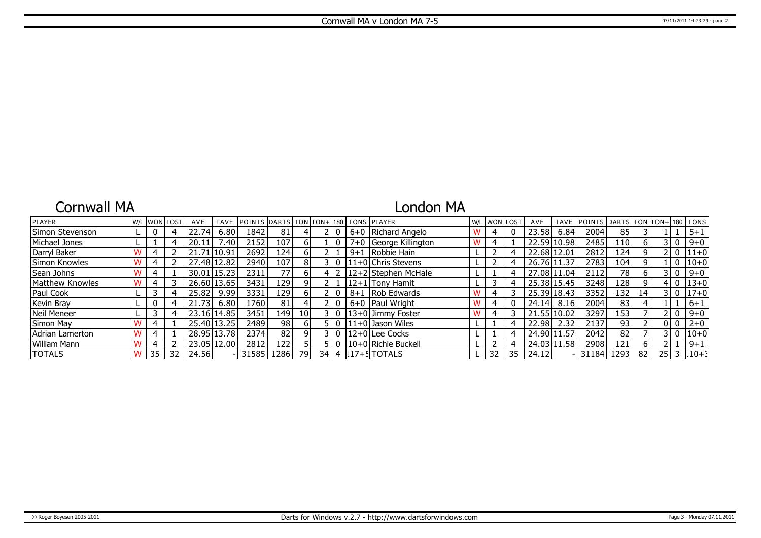### Cornwall MA

## London MA

| PLAYER          |    | WL WONLOST | AVE         | <b>TAVE</b>     | <b>IPOINTS DARTS TON FON+1180 TONS PLAYER</b> |                  |                 |       |         |                           | W/L WON LOST |    | AVE         | <b>TAVE</b> | <b>IPOINTS IDARTS ITON ITON+1180 ITONS</b> |      |                 |              |                 |
|-----------------|----|------------|-------------|-----------------|-----------------------------------------------|------------------|-----------------|-------|---------|---------------------------|--------------|----|-------------|-------------|--------------------------------------------|------|-----------------|--------------|-----------------|
| Simon Stevenson |    |            | 22.74       | 6.80            | 1842                                          | 81               |                 |       |         | 6+0 Richard Angelo        | 4            |    | 23.58       | 6.84        | 2004                                       | 85   |                 |              | $5 + 1$         |
| Michael Jones   |    |            | 20.11       | $^{\prime}$ .40 | 2152                                          | 107 <sub>1</sub> | b.              |       |         | 7+0 George Killington     |              |    |             | 22.59 10.98 | 2485                                       | 110  | 6               | 3 I O        | $9 + 0$         |
| Darryl Baker    |    |            | 21.71 10.91 |                 | 2692                                          | 124'             | h I             |       | $9 + 1$ | Robbie Hain               |              |    | 22.68 12.01 |             | 2812                                       | 124' | q               | ! O          | $111+0$         |
| Simon Knowles   |    |            |             | 27.48 12.82     | 2940                                          | 107              | 8 <sup>1</sup>  |       |         | $11+0$ Chris Stevens      |              |    |             | 26.76 11.37 | 2783                                       | 104  | 9               | 0            | $10+0$          |
| Sean Johns      |    |            | 30.01       | 15.23           | 2311                                          | 77               | 61              |       |         | $12+2$ Stephen McHale     |              |    | 27.08 11.04 |             | 2112                                       | 78   | 6               | 3 I O        | $9 + 0$         |
| Matthew Knowles |    |            |             | 26.60 13.65     | 3431                                          | 129              |                 |       |         | 12+1 Tony Hamit           |              | 4  | 25.38 15.45 |             | 3248                                       | 128  | 9               | $\mathbf{0}$ | $13 + 0$        |
| Paul Cook       |    |            | 25.82       | 9.99            | 3331                                          | 129 l            | 61              |       | $8 + 1$ | Rob Edwards               |              |    |             | 25.39 18.43 | 3352                                       | 132  | 14 <sub>1</sub> | 3 I O        | $17 + 0$        |
| Kevin Bray      |    |            | 21.73       | 6.80            | 1760 l                                        | 81               |                 |       |         | 6+0 Paul Wright           | 4            |    | 24.14       | 8.16        | 2004                                       | 83   |                 |              | $6 + 1$         |
| Neil Meneer     |    |            |             | 23.16 14.85     | 3451                                          | 149              | 10 <sup>1</sup> | 3 I O |         | 13+0 Jimmy Foster         |              |    | 21.55 10.02 |             | 3297                                       | 153  |                 | 210          | $9 + 0$         |
| Simon May       |    |            |             | 25.40 13.25     | 2489                                          | 98               | h I             | - 0   |         | $\sqrt{11+0}$ Jason Wiles |              | 4  | 22.98       | 2.32        | 2137                                       | 93   |                 | 0 I O        | $2 + 0$         |
| Adrian Lamerton |    |            |             | 28.95 13.78     | 2374                                          | 82               | ΩI              | 31 O  |         | $ 12+0 $ Lee Cocks        |              |    | 24.90       | 11.57       | 2042                                       | 82   |                 | 3 I O        | $ 10+0$         |
| William Mann    |    |            | 23.05       | 12.00           | 2812                                          | 122 I            |                 |       |         | l 10+0 l Richie Buckell   |              |    | 24.03 11.58 |             | 2908                                       | 121  | 6               |              | $9 + 1$         |
| <b>TOTALS</b>   | 35 | 32         | 24.56       |                 | 31585                                         | 1286 l           | 79              |       |         | 34   4   17+5 TOTALS      | 32           | 35 | 24.12       |             | 31184                                      | 1293 | 82              |              | $25$   3   10+3 |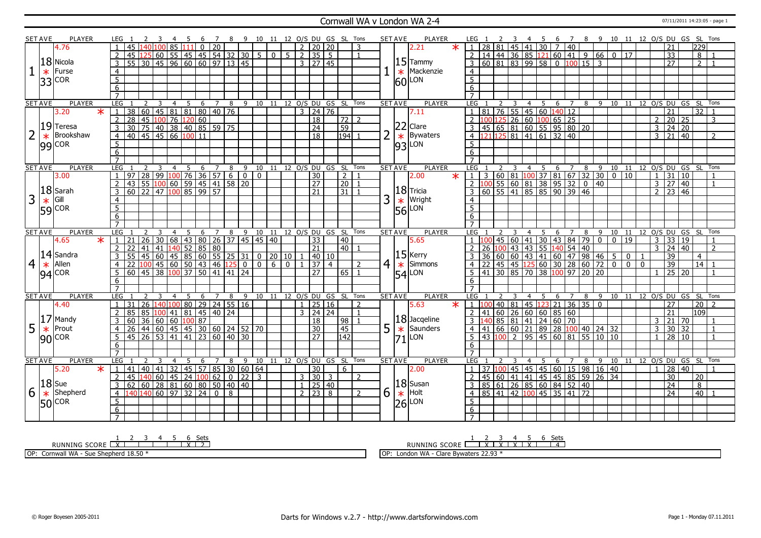### Cornwall WA v London WA 2-4 07/11/2011 14:23:05 - page 1

|                | <b>SET AVE</b> | <b>PLAYER</b>  | LEG 1               |                             |                  |                |   |     | $\overline{7}$                                              | -8             |    |                              |       |  |                     | 9 10 11 12 O/S DU GS SL Tons   |               |                |   | SET AVE        | PLAYER            | LEG 1            |                                                                                                                                        |                 |    | -4             | - 5         | - 6                                                                            | $\overline{7}$ |                 |                |                                                                                                                                                                                                                                 |                |                |                |                       |       |                       | 8 9 10 11 12 O/S DU GS SL Tons |
|----------------|----------------|----------------|---------------------|-----------------------------|------------------|----------------|---|-----|-------------------------------------------------------------|----------------|----|------------------------------|-------|--|---------------------|--------------------------------|---------------|----------------|---|----------------|-------------------|------------------|----------------------------------------------------------------------------------------------------------------------------------------|-----------------|----|----------------|-------------|--------------------------------------------------------------------------------|----------------|-----------------|----------------|---------------------------------------------------------------------------------------------------------------------------------------------------------------------------------------------------------------------------------|----------------|----------------|----------------|-----------------------|-------|-----------------------|--------------------------------|
|                |                | 4.76           |                     | 45<br>140                   |                  | 100 85 111     |   |     | 0 20                                                        |                |    |                              |       |  | 2 20 20             |                                |               | 3              |   |                | $\star$<br>2.21   | $\overline{1}$   | l 28                                                                                                                                   |                 |    |                | 81 45 41 30 | $\overline{7}$                                                                 | 40             |                 |                |                                                                                                                                                                                                                                 |                |                |                | 21                    |       | 229                   |                                |
|                |                |                | $\overline{2}$      | 45<br>125                   |                  |                |   |     | 60 55 45 45 54 32 30 5 0 5 2 35 5                           |                |    |                              |       |  |                     |                                |               | $\overline{1}$ |   |                |                   |                  | $2 \mid 14 \mid 44 \mid 36 \mid 85 \mid 121 \mid 60 \mid 41$                                                                           |                 |    |                |             |                                                                                |                |                 |                | 966017                                                                                                                                                                                                                          |                |                |                | $\overline{33}$       |       | 8                     |                                |
|                |                | 18 Nicola      | $\overline{3}$      | $\overline{55}$             |                  |                |   |     | 30 45 96 60 60 97 13 45                                     |                |    |                              |       |  | $3 \mid 27 \mid 45$ |                                |               |                |   |                | $15$ Tammy        | $\overline{3}$   | 60 81 83 99 58 0 100 15                                                                                                                |                 |    |                |             |                                                                                |                |                 | $\overline{3}$ |                                                                                                                                                                                                                                 |                |                |                | $\overline{27}$       |       | 2 <sup>1</sup>        |                                |
|                |                |                |                     |                             |                  |                |   |     |                                                             |                |    |                              |       |  |                     |                                |               |                |   |                | $\star$ Mackenzie |                  |                                                                                                                                        |                 |    |                |             |                                                                                |                |                 |                |                                                                                                                                                                                                                                 |                |                |                |                       |       |                       |                                |
|                | $\ast$         | Furse          | $\overline{4}$      |                             |                  |                |   |     |                                                             |                |    |                              |       |  |                     |                                |               |                |   |                |                   | $\overline{4}$   |                                                                                                                                        |                 |    |                |             |                                                                                |                |                 |                |                                                                                                                                                                                                                                 |                |                |                |                       |       |                       |                                |
|                |                | $33$ COR       | $\overline{5}$      |                             |                  |                |   |     |                                                             |                |    |                              |       |  |                     |                                |               |                |   |                | $ 60 $ LON        | $\overline{5}$   |                                                                                                                                        |                 |    |                |             |                                                                                |                |                 |                |                                                                                                                                                                                                                                 |                |                |                |                       |       |                       |                                |
|                |                |                | $6\overline{6}$     |                             |                  |                |   |     |                                                             |                |    |                              |       |  |                     |                                |               |                |   |                |                   | 6                |                                                                                                                                        |                 |    |                |             |                                                                                |                |                 |                |                                                                                                                                                                                                                                 |                |                |                |                       |       |                       |                                |
|                |                |                | $\overline{7}$      |                             |                  |                |   |     |                                                             |                |    |                              |       |  |                     |                                |               |                |   |                |                   |                  |                                                                                                                                        |                 |    |                |             |                                                                                |                |                 |                |                                                                                                                                                                                                                                 |                |                |                |                       |       |                       |                                |
|                | <b>SET AVE</b> | PLAYER         | LEG                 |                             |                  | $\overline{4}$ |   | 5 6 | $\overline{7}$                                              |                |    |                              |       |  |                     | 8 9 10 11 12 0/S DU GS SL Tons |               |                |   | <b>SET AVE</b> | <b>PLAYER</b>     | LEG              |                                                                                                                                        |                 |    | $\overline{4}$ |             | 5 6 7                                                                          |                |                 |                |                                                                                                                                                                                                                                 |                |                |                |                       |       |                       | 8 9 10 11 12 0/S DU GS SL Tons |
|                |                | 3.20<br>$\ast$ |                     | $\overline{38}$             |                  |                |   |     | $60$ 45 81 81 80 40 76                                      |                |    |                              |       |  | $3 \mid 24 \mid 76$ |                                |               |                |   |                | 7.11              |                  |                                                                                                                                        | $\overline{76}$ |    |                |             | 55   45   60   140   12                                                        |                |                 |                |                                                                                                                                                                                                                                 |                |                |                | 21                    |       | 32                    |                                |
|                |                |                | $\overline{2}$      | 28                          | 45 100 76 120 60 |                |   |     |                                                             |                |    |                              |       |  | 18                  |                                | $\sqrt{72}$ 2 |                |   |                |                   | $\overline{2}$   |                                                                                                                                        |                 |    |                |             |                                                                                |                |                 |                |                                                                                                                                                                                                                                 |                |                | $\overline{2}$ |                       | 20 25 |                       | 3                              |
|                |                | $19$ Teresa    | 3                   | 30 <sup>1</sup>             |                  |                |   |     | <u>75 40 38 40 85 59 75<br/>45 45 66 100 11</u>             |                |    |                              |       |  | $\sqrt{24}$         |                                | 59            |                |   |                | $ 22 $ Clare      | 3                | $\frac{100125}{100125} \frac{15}{26} \frac{100}{60} \frac{100}{65} \frac{15}{25}$<br>45 65 81 60 55 95 80 20<br>121 125 81 41 61 32 40 |                 |    |                |             |                                                                                |                |                 |                |                                                                                                                                                                                                                                 |                |                |                | $3 \mid 24 \mid 20$   |       |                       |                                |
|                | $\ast$         | Brookshaw      | $\overline{4}$      | 40                          |                  |                |   |     |                                                             |                |    |                              |       |  | $\overline{18}$     |                                | 194           |                |   | $\ast$         | Bywaters          | $\overline{4}$   |                                                                                                                                        |                 |    |                |             |                                                                                |                |                 |                |                                                                                                                                                                                                                                 |                |                |                | $3 \mid 21 \mid 40$   |       |                       | $\mathcal{P}$                  |
|                |                | $ 99 $ COR     | 5 <sup>5</sup>      |                             |                  |                |   |     |                                                             |                |    |                              |       |  |                     |                                |               |                |   |                | $ 93 $ LON        | 5                |                                                                                                                                        |                 |    |                |             |                                                                                |                |                 |                |                                                                                                                                                                                                                                 |                |                |                |                       |       |                       |                                |
|                |                |                | 6                   |                             |                  |                |   |     |                                                             |                |    |                              |       |  |                     |                                |               |                |   |                |                   | 6                |                                                                                                                                        |                 |    |                |             |                                                                                |                |                 |                |                                                                                                                                                                                                                                 |                |                |                |                       |       |                       |                                |
|                |                |                | $\overline{7}$      |                             |                  |                |   |     |                                                             |                |    |                              |       |  |                     |                                |               |                |   |                |                   | $\overline{7}$   |                                                                                                                                        |                 |    |                |             |                                                                                |                |                 |                |                                                                                                                                                                                                                                 |                |                |                |                       |       |                       |                                |
|                | <b>SET AVE</b> | <b>PLAYER</b>  | LEG                 |                             | 3                | $\overline{4}$ | 5 | 6   | $\overline{7}$                                              |                |    |                              |       |  |                     | 8 9 10 11 12 O/S DU GS SL Tons |               |                |   | <b>SET AVE</b> | <b>PLAYER</b>     | LEG <sub>1</sub> |                                                                                                                                        |                 | -3 | $\overline{4}$ | 5           | 6                                                                              | $\overline{7}$ |                 |                |                                                                                                                                                                                                                                 |                |                |                |                       |       |                       | 8 9 10 11 12 0/S DU GS SL Tons |
|                |                | 3.00           | $\overline{1}$      | 97                          |                  |                |   |     | $28   99   100   76   36   57   6   0   0$                  |                |    |                              |       |  | $\overline{30}$     |                                | 2             | $\mathbf{1}$   |   |                | $\ast$<br>2.00    | $1\vert 3$       |                                                                                                                                        |                 |    |                |             |                                                                                |                |                 |                | $\boxed{60}$ $\boxed{81}$ $\boxed{100}$ 37   81   67   32   30   0   10                                                                                                                                                         |                |                |                | $1 \vert 31 \vert 10$ |       |                       |                                |
|                |                |                | 2                   | 43                          |                  |                |   |     | 55 100 60 59 45 41 58 20                                    |                |    |                              |       |  | $\overline{27}$     |                                | $\boxed{20}$  | $\overline{1}$ |   |                |                   | $\overline{2}$   |                                                                                                                                        |                 |    |                |             |                                                                                |                |                 | 40             |                                                                                                                                                                                                                                 |                |                |                | $3 \mid 27 \mid 40$   |       |                       |                                |
|                |                | $ 18 $ Sarah   |                     | $60$ 22 47 100 85 99 57     |                  |                |   |     |                                                             |                |    |                              |       |  | $\sqrt{21}$         |                                | $31 \mid 1$   |                |   |                | $ 18 $ Tricia     |                  |                                                                                                                                        |                 |    |                |             |                                                                                |                |                 |                |                                                                                                                                                                                                                                 |                |                |                | $2 \ 23 \ 46$         |       |                       |                                |
|                |                |                |                     |                             |                  |                |   |     |                                                             |                |    |                              |       |  |                     |                                |               |                |   |                |                   |                  |                                                                                                                                        |                 |    |                |             |                                                                                |                |                 |                |                                                                                                                                                                                                                                 |                |                |                |                       |       |                       |                                |
| 3              | $\ast$         | Gill           | $\overline{4}$      |                             |                  |                |   |     |                                                             |                |    |                              |       |  |                     |                                |               |                | 3 | $\ast$         | <b>Wright</b>     | $\overline{4}$   |                                                                                                                                        |                 |    |                |             |                                                                                |                |                 |                |                                                                                                                                                                                                                                 |                |                |                |                       |       |                       |                                |
|                |                | $ 59 $ COR     | $\overline{5}$      |                             |                  |                |   |     |                                                             |                |    |                              |       |  |                     |                                |               |                |   |                | $ 56 $ LON        | $\overline{5}$   |                                                                                                                                        |                 |    |                |             |                                                                                |                |                 |                |                                                                                                                                                                                                                                 |                |                |                |                       |       |                       |                                |
|                |                |                | 6                   |                             |                  |                |   |     |                                                             |                |    |                              |       |  |                     |                                |               |                |   |                |                   | 6                |                                                                                                                                        |                 |    |                |             |                                                                                |                |                 |                |                                                                                                                                                                                                                                 |                |                |                |                       |       |                       |                                |
|                |                |                | $\overline{7}$      |                             |                  |                |   |     |                                                             |                |    |                              |       |  |                     |                                |               |                |   |                |                   | $\overline{7}$   |                                                                                                                                        |                 |    |                |             |                                                                                |                |                 |                |                                                                                                                                                                                                                                 |                |                |                |                       |       |                       |                                |
|                |                |                |                     |                             |                  |                |   |     |                                                             |                |    |                              |       |  |                     |                                |               |                |   |                |                   |                  |                                                                                                                                        |                 |    |                |             |                                                                                |                |                 |                |                                                                                                                                                                                                                                 |                |                |                |                       |       | 12 O/S DU GS SL Tons  |                                |
|                | <b>SET AVE</b> | <b>PLAYER</b>  | LEG                 |                             |                  |                | 5 | 6   | $7^{\circ}$                                                 | 8              |    | 9 10 11 12 0/S DU GS SL Tons |       |  |                     |                                |               |                |   | <b>SET AVE</b> | <b>PLAYER</b>     | LEG              |                                                                                                                                        |                 |    | 4              | 5           | 6                                                                              | 7              | 8               | 9              | 10                                                                                                                                                                                                                              | 11             |                |                |                       |       |                       |                                |
|                |                | $\ast$<br>4.65 |                     | 26<br>21                    | $\overline{30}$  |                |   |     | 68 43 80 26 37 45 45 40                                     |                |    |                              |       |  | $\overline{33}$     |                                | 40            |                |   |                | 5.65              | $\mathbf{1}$     |                                                                                                                                        |                 |    |                |             |                                                                                |                |                 |                |                                                                                                                                                                                                                                 | 19             |                | $\overline{3}$ |                       | 33 19 |                       |                                |
|                |                |                | 2 <sup>1</sup>      | 22.                         |                  |                |   |     | 41 41 140 52 85 80                                          |                |    |                              |       |  | $\overline{21}$     |                                | 40            |                |   |                |                   | 2                | 26                                                                                                                                     |                 |    |                |             |                                                                                |                |                 |                |                                                                                                                                                                                                                                 |                |                |                | $3 \mid 24 \mid 40$   |       |                       | $\overline{2}$                 |
|                |                | $ 14 $ Sandra  | 3                   |                             |                  |                |   |     | 45 60 45 85 60 55 25 31 0 20 10                             |                |    |                              |       |  | 1   40   10         |                                |               |                |   |                | $ 15 $ Kerry      | $\overline{3}$   | 36                                                                                                                                     |                 |    |                |             |                                                                                |                |                 |                |                                                                                                                                                                                                                                 | $\overline{0}$ |                |                | 39                    |       | $\overline{4}$        |                                |
| $\overline{4}$ | $\ast$         | Allen          | $\overline{4}$      |                             |                  |                |   |     | $45 \mid 60 \mid 50 \mid 43 \mid 46 \mid 125 \mid 0 \mid 0$ |                |    |                              | $600$ |  | 37 4                |                                |               | $\mathcal{D}$  |   | $4 \times$     | Simmons           | $\overline{4}$   | 22                                                                                                                                     |                 |    |                |             |                                                                                |                |                 |                |                                                                                                                                                                                                                                 | $\overline{0}$ | $\overline{0}$ |                | $\overline{39}$       |       | 14                    |                                |
|                |                |                | 5                   | 60 45 38 100 37 50 41 41 24 |                  |                |   |     |                                                             |                |    |                              |       |  | $\overline{27}$     |                                | $65$   1      |                |   |                |                   | $5^{\circ}$      | 41                                                                                                                                     |                 |    |                |             |                                                                                |                |                 | $20$ 20        | $\begin{array}{cccc cccc}\n\hline\n2 & 3 & 4 & 3 & 4 \\ 45 & 60 & 41 & 30 & 43 & 84 & 79 & 0 & 0 \\ \hline\n100 & 43 & 43 & 55 & 140 & 54 & 40 & 0 \\ \hline\n60 & 60 & 43 & 41 & 60 & 47 & 98 & 46 & 5 \\ \hline\n\end{array}$ |                |                |                | $1 \mid 25 \mid 20$   |       |                       |                                |
|                |                | $94$ COR       | 6                   |                             |                  |                |   |     |                                                             |                |    |                              |       |  |                     |                                |               |                |   |                | $ 54 $ LON        | $6\overline{6}$  |                                                                                                                                        |                 |    |                |             | 45 45 125 60 30 28<br>30 85 70 38 100 97                                       |                |                 |                |                                                                                                                                                                                                                                 |                |                |                |                       |       |                       |                                |
|                |                |                | $\overline{7}$      |                             |                  |                |   |     |                                                             |                |    |                              |       |  |                     |                                |               |                |   |                |                   | $\overline{7}$   |                                                                                                                                        |                 |    |                |             |                                                                                |                |                 |                |                                                                                                                                                                                                                                 |                |                |                |                       |       |                       |                                |
|                | <b>SET AVE</b> | <b>PLAYER</b>  | LEG                 |                             |                  |                | 5 | 6   | $\overline{7}$                                              | 8              | 9  |                              |       |  |                     | 10 11 12 O/S DU GS SL Tons     |               |                |   | <b>SET AVE</b> | PLAYER            | LEG              |                                                                                                                                        |                 |    |                | -5          | 6                                                                              | $\overline{7}$ | 8               | 9              |                                                                                                                                                                                                                                 |                |                |                |                       |       | 10 11 12 O/S DU GS SL | Tons                           |
|                |                | 4.40           |                     | 31<br>26                    |                  |                |   |     |                                                             |                |    |                              |       |  | $1 \mid 25 \mid 16$ |                                |               | 2              |   |                | 5.63<br>$\ast$    | $\mathbf{1}$     |                                                                                                                                        | 40              | 81 | 45             | 123         | 21                                                                             |                |                 | $\overline{0}$ |                                                                                                                                                                                                                                 |                |                |                | $\overline{27}$       |       | 20                    |                                |
|                |                |                | $\overline{2}$      | 85                          |                  |                |   |     | 140 100 80 29 24 55 16                                      |                |    |                              |       |  |                     |                                |               | $\mathbf{1}$   |   |                |                   |                  | 41                                                                                                                                     |                 |    |                |             |                                                                                |                | 36 35           |                |                                                                                                                                                                                                                                 |                |                |                |                       |       |                       |                                |
|                |                |                |                     | 85<br>60                    |                  |                |   |     | 100 41 81 45 40 24                                          |                |    |                              |       |  | $3 \ 24 \ 24$       |                                |               |                |   |                |                   |                  |                                                                                                                                        |                 |    |                |             |                                                                                |                |                 |                |                                                                                                                                                                                                                                 |                |                | 3 <sup>1</sup> | $\overline{21}$       |       | $ 109\rangle$         |                                |
|                |                | $17$ Mandy     | 3                   | 36                          |                  | 60 60 100 87   |   |     |                                                             |                |    |                              |       |  | $\overline{18}$     |                                | 98            |                |   |                | $ 18 $ Jacqeline  | $\overline{3}$   |                                                                                                                                        | 85              |    |                |             | 81 41 24 60 70                                                                 |                |                 |                |                                                                                                                                                                                                                                 |                |                |                |                       | 21 70 |                       |                                |
| 5              | $\ast$         | Prout          | 4                   | 26                          |                  |                |   |     | 44 60 45 45 30 60 24 52 70                                  |                |    |                              |       |  | 30                  |                                | 45            |                | 5 | $\ast$         | Saunders          | $\overline{4}$   |                                                                                                                                        |                 |    |                |             |                                                                                |                |                 |                | 66 60 21 89 28 100 40 24 32                                                                                                                                                                                                     |                |                | $\overline{3}$ |                       | 30 32 |                       | $\overline{1}$                 |
|                |                | $90$ COR       | $5^{\circ}$         | 45 26 53 41 41 23 60 40 30  |                  |                |   |     |                                                             |                |    |                              |       |  | $\overline{27}$     |                                | 142           |                |   | 71             | LON               | 5                | 43                                                                                                                                     | 100             |    |                |             | 2 95 45 60 81 55 10 10                                                         |                |                 |                |                                                                                                                                                                                                                                 |                |                | 1 <sup>1</sup> |                       | 28 10 |                       |                                |
|                |                |                | 6                   |                             |                  |                |   |     |                                                             |                |    |                              |       |  |                     |                                |               |                |   |                |                   | 6                |                                                                                                                                        |                 |    |                |             |                                                                                |                |                 |                |                                                                                                                                                                                                                                 |                |                |                |                       |       |                       |                                |
|                |                |                | $\overline{7}$      |                             |                  |                |   |     |                                                             |                |    |                              |       |  |                     |                                |               |                |   |                |                   | $\overline{7}$   |                                                                                                                                        |                 |    |                |             |                                                                                |                |                 |                |                                                                                                                                                                                                                                 |                |                |                |                       |       |                       |                                |
|                | <b>SET AVE</b> | <b>PLAYER</b>  | LEG                 |                             |                  |                |   | 6   |                                                             | 8              | 9  | 10                           |       |  |                     | 11 12 0/S DU GS SL Tons        |               |                |   | <b>SET AVE</b> | <b>PLAYER</b>     | LEG              |                                                                                                                                        |                 |    |                | 5           | 6                                                                              | $\overline{7}$ | 8               | 9              | 10                                                                                                                                                                                                                              |                |                |                |                       |       |                       | 11 12 0/S DU GS SL Tons        |
|                |                | 5.20<br>$\ast$ | $\overline{1}$      | 41                          |                  |                |   |     | 40   41   32   45   57   85   30   60   64                  |                |    |                              |       |  | $\overline{30}$     |                                | 6             |                |   |                | 2.00              | $\overline{1}$   | $\overline{37}$                                                                                                                        | 100             |    |                |             | 45 45 45 60 15 98 16 40                                                        |                |                 |                |                                                                                                                                                                                                                                 |                |                |                | $1 \mid 28 \mid 40$   |       |                       |                                |
|                |                |                | 2                   | 45<br>140                   |                  |                |   |     | 60   45   24   100   62                                     | 0 <sup>1</sup> | 22 | $\overline{3}$               |       |  | $3 \mid 30 \mid 3$  |                                |               | $\mathcal{P}$  |   |                |                   | $\overline{2}$   | 45                                                                                                                                     | 60              |    | 41 41          |             | $145$ 45 85 59                                                                 |                |                 |                | $26 \overline{)34}$                                                                                                                                                                                                             |                |                |                | 30                    |       | 20                    |                                |
|                |                | $ 18 $ Sue     | 3                   | 62                          |                  |                |   |     | 60   28   81   60   80   50   40   40                       |                |    |                              |       |  | $1$   25   40       |                                |               |                |   |                | $ 18 $ Susan      | $\overline{3}$   | 85   61   26   85   60   84                                                                                                            |                 |    |                |             |                                                                                | 52             | 40              |                |                                                                                                                                                                                                                                 |                |                |                | $\overline{24}$       |       | 8                     |                                |
| 6              | $\ast$         | Shepherd       | $\overline{4}$      | 140<br>140                  |                  |                |   |     | 60 97 32 24 0                                               | 8              |    |                              |       |  | $2 \ 23 \ 8$        |                                |               | $\overline{2}$ | 6 | $\ast$         | Holt              | $\overline{4}$   | 85                                                                                                                                     |                 |    |                |             | $\boxed{41}$ $\boxed{42}$ $\boxed{100}$ $\boxed{45}$ $\boxed{35}$ $\boxed{41}$ |                | $\overline{72}$ |                |                                                                                                                                                                                                                                 |                |                |                | $\overline{24}$       |       |                       | 40 1                           |
|                |                |                | 5                   |                             |                  |                |   |     |                                                             |                |    |                              |       |  |                     |                                |               |                |   |                |                   | 5                |                                                                                                                                        |                 |    |                |             |                                                                                |                |                 |                |                                                                                                                                                                                                                                 |                |                |                |                       |       |                       |                                |
|                |                | $ 50 $ COR     | 6<br>$\overline{7}$ |                             |                  |                |   |     |                                                             |                |    |                              |       |  |                     |                                |               |                |   |                | $ 26 $ LON        | 6                |                                                                                                                                        |                 |    |                |             |                                                                                |                |                 |                |                                                                                                                                                                                                                                 |                |                |                |                       |       |                       |                                |

RUNNING SCORE <u>| X | 2 | 3 | 4 | 5 | 6 Sets</u><br>RUNNING SCORE <u>| X | 1 | | | | X | 2</u>

OP: Cornwall WA - Sue Shepherd 18.50 \*

1 2 3 4 5 6 Sets<br>RUNNING SCORE <u>| X | X | X | X | X |</u>

OP: London WA - Clare Bywaters 22.93 \*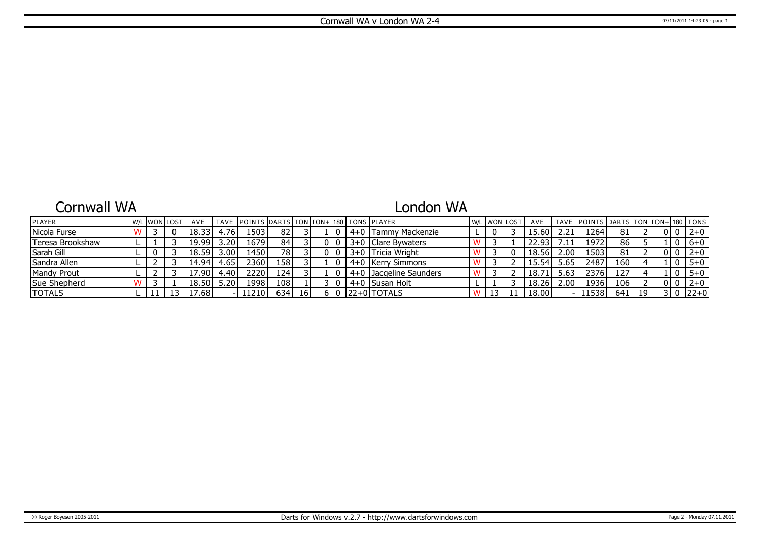### Cornwall WA

# London WA

| <b>IPLAYER</b>   |  | W/L WON LOST | AVE                       |      | TAVE IPOINTS IDARTS TON ITON+1180 I TONS IPLAYER |       |    |  |         |                        | W/L | . IWONILOST | AVE   |                | TAVE POINTS DARTS TON TON+180 TONS |                  |    |    |         |
|------------------|--|--------------|---------------------------|------|--------------------------------------------------|-------|----|--|---------|------------------------|-----|-------------|-------|----------------|------------------------------------|------------------|----|----|---------|
| Nicola Furse     |  |              | 18.33                     | .76' | 1503                                             | 82    |    |  |         | Tammy Mackenzie        |     |             | 15.60 |                | 1264                               | 81               |    |    | $2 + 0$ |
| Teresa Brookshaw |  |              | 19.99                     | 3.20 | 16791                                            | 84    |    |  |         | 3+0 Clare Bywaters     |     |             | 22.93 | $^{\prime}.11$ | 1972                               | 86               |    |    | $6+0$   |
| l Sarah Gill     |  |              | 18.59                     | 3.00 | 1450                                             | 78 I  |    |  |         | 3+0 Tricia Wright      |     |             | 18.56 | 2.00           | 1503                               | 81               |    |    | $2 + 0$ |
| Sandra Allen     |  |              | 14.94                     | 4.65 | 2360                                             | 158 I |    |  | 4+0     | ∣ IKerrv Simmons       |     |             | 15.54 | 5.65           | 2487                               | 160 <sup>1</sup> |    | -0 | $5 + 0$ |
| Mandy Prout      |  |              | 17.90                     | 4.40 | 22201                                            | 124'  |    |  |         | 4+0 Dacaeline Saunders |     |             | 18.71 | 5.63           | 2376                               | 127              |    |    | $5 + 0$ |
| Sue Shepherd     |  |              | 18.50                     | 5.20 | 1998                                             | 108   |    |  | $4 + 0$ | I Susan Holt           |     |             | 18.26 | 2.00           | 1936                               | 106              |    |    | $2+0$   |
| <b>TOTALS</b>    |  |              | $^{\circ}$ .68 $^{\circ}$ |      | 112101                                           | 634   | 16 |  |         | 122+01TOTALS           |     |             | 18.00 |                | 11538                              | 641              | 19 |    | $22+0$  |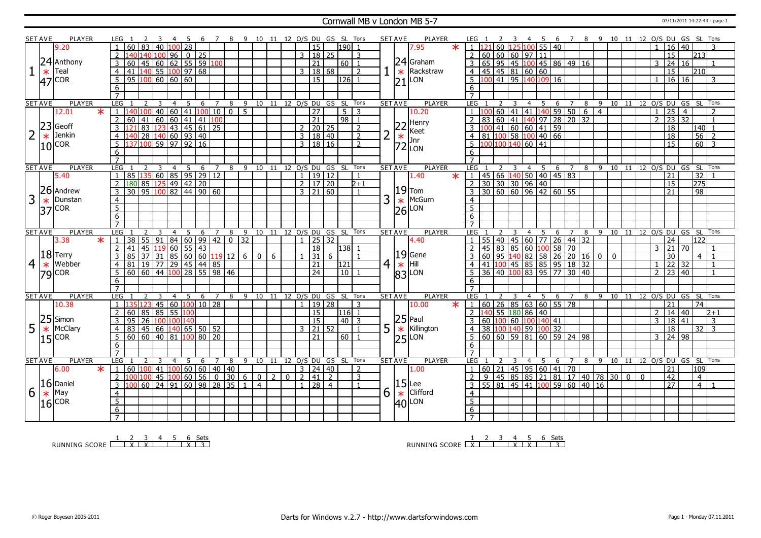### Cornwall MB v London MB 5-7 07/11/2011 14:22:44 - page 1

|                | <b>SET AVE</b> | PLAYER        |                   | LEG                 |                                                                                                               |                |                                                                                                   |                |             |              |                  |                | 7 8 9 10 11 12 O/S DU GS SL Tons |                |       |                          |                       |       |                            |                | <b>SET AVE</b> |                | PLAYER                                                                          |         | LEG 1                                                                                                                                                                                                 |                |                |                            |     |                                                              |     |   | 5 6 7 8 9 10 11 12 O/S DU GS SL Tons   |  |                                  |                 |                 |                   |                |  |
|----------------|----------------|---------------|-------------------|---------------------|---------------------------------------------------------------------------------------------------------------|----------------|---------------------------------------------------------------------------------------------------|----------------|-------------|--------------|------------------|----------------|----------------------------------|----------------|-------|--------------------------|-----------------------|-------|----------------------------|----------------|----------------|----------------|---------------------------------------------------------------------------------|---------|-------------------------------------------------------------------------------------------------------------------------------------------------------------------------------------------------------|----------------|----------------|----------------------------|-----|--------------------------------------------------------------|-----|---|----------------------------------------|--|----------------------------------|-----------------|-----------------|-------------------|----------------|--|
|                |                | 9.20          |                   |                     | 60                                                                                                            | 83             | 40                                                                                                | 100 28         |             |              |                  |                |                                  |                |       |                          | $\overline{15}$       |       | 190                        |                |                |                | 7.95                                                                            | $\star$ | $1 \; 121$                                                                                                                                                                                            |                |                |                            |     | 60 125 100 55 40                                             |     |   |                                        |  |                                  | 16              | 40              |                   |                |  |
|                |                |               |                   | 2                   | 140 140 100 96                                                                                                |                |                                                                                                   |                |             | 0 25         |                  |                |                                  |                |       |                          | 3   18   25           |       |                            | 3              |                |                |                                                                                 |         | 2   60   60   60   97   11                                                                                                                                                                            |                |                |                            |     |                                                              |     |   |                                        |  |                                  | $\overline{15}$ |                 | 213               |                |  |
|                | 24             | Anthony       |                   | $\overline{3}$      | 60                                                                                                            |                | 45 60 62 55 59 100                                                                                |                |             |              |                  |                |                                  |                |       |                          | $\overline{21}$       |       | $60$   1                   |                |                |                | $ 24 $ Graham                                                                   |         |                                                                                                                                                                                                       |                |                |                            |     |                                                              |     |   |                                        |  | 3                                | 24              | 16              |                   |                |  |
|                |                |               |                   |                     |                                                                                                               |                |                                                                                                   |                |             |              |                  |                |                                  |                |       |                          |                       |       |                            |                |                |                | Rackstraw                                                                       |         |                                                                                                                                                                                                       |                |                |                            |     | 3 65 95 45 100 45 86 49 16                                   |     |   |                                        |  |                                  |                 |                 |                   |                |  |
|                | $\ast$         | Teal          |                   | $\overline{4}$      | 41 140 55 100 97 68                                                                                           |                |                                                                                                   |                |             |              |                  |                |                                  |                |       |                          | 3   18   68           |       |                            | $\overline{2}$ |                | $\ast$         |                                                                                 |         |                                                                                                                                                                                                       |                |                | 4   45   45   81   60   60 |     |                                                              |     |   |                                        |  |                                  | 15              |                 | 210               |                |  |
|                |                | $ 47 $ COR    |                   | 5                   | $\boxed{95}$ $\boxed{100}$ 60 $\boxed{60}$ 60                                                                 |                |                                                                                                   |                |             |              |                  |                |                                  |                |       |                          | $\overline{15}$       |       | 1261                       |                |                | 21             | LON                                                                             |         |                                                                                                                                                                                                       |                |                |                            |     | $5 \vert 100 \vert 41 \vert 95 \vert 140 \vert 109 \vert 16$ |     |   |                                        |  | $\mathbf{1}$                     | 16 16           |                 |                   | 3              |  |
|                |                |               |                   | 6                   |                                                                                                               |                |                                                                                                   |                |             |              |                  |                |                                  |                |       |                          |                       |       |                            |                |                |                |                                                                                 |         | 6                                                                                                                                                                                                     |                |                |                            |     |                                                              |     |   |                                        |  |                                  |                 |                 |                   |                |  |
|                |                |               |                   |                     |                                                                                                               |                |                                                                                                   |                |             |              |                  |                |                                  |                |       |                          |                       |       |                            |                |                |                |                                                                                 |         |                                                                                                                                                                                                       |                |                |                            |     |                                                              |     |   |                                        |  |                                  |                 |                 |                   |                |  |
|                | <b>SET AVE</b> | <b>PLAYER</b> |                   | LEG                 |                                                                                                               | 2              | 3                                                                                                 | $\overline{4}$ | 5           | 6            | $\overline{7}$   | 8              | 9                                |                |       |                          |                       |       | 10 11 12 O/S DU GS SL Tons |                | <b>SET AVE</b> |                | <b>PLAYER</b>                                                                   |         | LEG                                                                                                                                                                                                   |                |                |                            |     | 4 5 6 7                                                      |     |   | 8 9 10 11 12 O/S DU GS SL Tons         |  |                                  |                 |                 |                   |                |  |
|                |                | 12.01         | $\overline{\ast}$ | $\mathbf{1}$        | 140 100                                                                                                       |                | 40   60   41   <mark>100</mark>   10                                                              |                |             |              |                  | $\boxed{0}$    | $\overline{5}$                   |                |       |                          | $\overline{27}$       |       | $5 \mid 3$                 |                |                |                | 10.20                                                                           |         |                                                                                                                                                                                                       |                |                |                            |     | 60   41   41   140   59   50   6   4                         |     |   |                                        |  | $\mathbf{1}$                     | $\overline{25}$ | $\overline{4}$  |                   |                |  |
|                |                |               |                   | $\overline{2}$      |                                                                                                               |                |                                                                                                   |                |             |              |                  |                |                                  |                |       |                          | $\overline{21}$       |       | $98$ 1                     |                |                |                |                                                                                 |         |                                                                                                                                                                                                       |                |                |                            |     |                                                              |     |   |                                        |  | $\overline{2}$                   | $\overline{23}$ | $\overline{32}$ |                   | $\overline{1}$ |  |
|                | 23             | Geoff         |                   | 3                   |                                                                                                               |                |                                                                                                   |                |             |              |                  |                |                                  |                |       |                          | $2$   20   25         |       |                            | 2              |                |                | $ 22 $ Henry                                                                    |         |                                                                                                                                                                                                       |                |                |                            |     |                                                              |     |   |                                        |  |                                  | 18              |                 | l140  1           |                |  |
|                | $\ast$         | Jenkin        |                   | $\overline{4}$      |                                                                                                               |                |                                                                                                   |                |             |              |                  |                |                                  |                |       |                          | 3   18   40           |       |                            | $\overline{2}$ | $\overline{2}$ |                |                                                                                 |         |                                                                                                                                                                                                       |                |                |                            |     |                                                              |     |   |                                        |  |                                  | $\overline{18}$ |                 | 56                | $\vert$ 2      |  |
|                | 10             | <b>COR</b>    |                   | 5 <sup>5</sup>      | 160 41 60 60 41 41 100<br>121 83 123 43 45 61 25<br>140 28 140 60 93 40<br>137 100 59 97 92 16                |                |                                                                                                   |                |             |              |                  |                |                                  |                |       |                          | 3   18   16           |       |                            | $\overline{2}$ |                |                |                                                                                 |         | $5 \left  100 \right  100 \left  140 \right  60 \left  41 \right $                                                                                                                                    |                |                |                            |     |                                                              |     |   |                                        |  |                                  | $\overline{15}$ |                 | $60 \overline{3}$ |                |  |
|                |                |               |                   | 6                   |                                                                                                               |                |                                                                                                   |                |             |              |                  |                |                                  |                |       |                          |                       |       |                            |                |                |                | $\begin{array}{c} 22 \\ \times \\ 3 \text{ hr} \\ 72 \\ \text{LON} \end{array}$ |         | 6                                                                                                                                                                                                     |                |                |                            |     |                                                              |     |   |                                        |  |                                  |                 |                 |                   |                |  |
|                |                |               |                   | $\overline{7}$      |                                                                                                               |                |                                                                                                   |                |             |              |                  |                |                                  |                |       |                          |                       |       |                            |                |                |                |                                                                                 |         | $\overline{7}$                                                                                                                                                                                        |                |                |                            |     |                                                              |     |   |                                        |  |                                  |                 |                 |                   |                |  |
|                | <b>SET AVE</b> | <b>PLAYER</b> |                   | LEG                 |                                                                                                               |                | $\overline{3}$                                                                                    | $\overline{4}$ | $5^{\circ}$ | 6            | $\overline{7}$   |                | 8 9 10 11 12 O/S DU GS SL Tons   |                |       |                          |                       |       |                            |                | <b>SET AVE</b> |                | <b>PLAYER</b>                                                                   |         | <b>LEG</b>                                                                                                                                                                                            |                | $\overline{3}$ |                            |     |                                                              |     |   | 4 5 6 7 8 9 10 11 12 O/S DU GS SL Tons |  |                                  |                 |                 |                   |                |  |
|                |                | 5.40          |                   | $\overline{1}$      |                                                                                                               |                |                                                                                                   |                |             |              |                  |                |                                  |                |       |                          | 1   19   12           |       |                            | $\overline{1}$ |                |                | 1.40                                                                            | $\ast$  |                                                                                                                                                                                                       |                |                |                            |     |                                                              |     |   |                                        |  |                                  | 21              |                 | 32                |                |  |
|                |                |               |                   |                     | 85   135   60   85   95   29   12<br>  180   85   125   49   42   20  <br>  30   95   100   82   44   90   60 |                |                                                                                                   |                |             |              |                  |                |                                  |                |       |                          | $2 \mid 17 \mid 20$   |       |                            | $2 + 1$        |                |                |                                                                                 |         | $\begin{array}{ c c c c c c c c c c c } \hline 1 & 45 & 66 & 140 & 50 & 40 & 45 & 83 \\ \hline 2 & 30 & 30 & 30 & 96 & 40 & & & \\ \hline 3 & 30 & 60 & 60 & 96 & 42 & 60 & 55 \\ \hline \end{array}$ |                |                |                            |     |                                                              |     |   |                                        |  |                                  | 15              |                 | 275               |                |  |
|                |                | $26$ Andrew   |                   |                     |                                                                                                               |                |                                                                                                   |                |             |              |                  |                |                                  |                |       |                          |                       |       |                            |                |                |                | $ 19 $ Tom                                                                      |         |                                                                                                                                                                                                       |                |                |                            |     |                                                              |     |   |                                        |  |                                  |                 |                 |                   |                |  |
|                |                |               |                   | 3                   |                                                                                                               |                |                                                                                                   |                |             |              |                  |                |                                  |                |       |                          | $3 \mid 21 \mid 60$   |       |                            |                |                |                |                                                                                 |         |                                                                                                                                                                                                       |                |                |                            |     |                                                              |     |   |                                        |  |                                  | 21              |                 | 98                |                |  |
| 3              | $\ast$         | Dunstan       |                   | $\overline{4}$      |                                                                                                               |                |                                                                                                   |                |             |              |                  |                |                                  |                |       |                          |                       |       |                            |                | 3              | $\ast$         | McGurn                                                                          |         | $\overline{4}$                                                                                                                                                                                        |                |                |                            |     |                                                              |     |   |                                        |  |                                  |                 |                 |                   |                |  |
|                | 37             | <b>COR</b>    |                   | $\overline{5}$      |                                                                                                               |                |                                                                                                   |                |             |              |                  |                |                                  |                |       |                          |                       |       |                            |                |                | 26             | LON                                                                             |         | $\overline{5}$                                                                                                                                                                                        |                |                |                            |     |                                                              |     |   |                                        |  |                                  |                 |                 |                   |                |  |
|                |                |               |                   | 6                   |                                                                                                               |                |                                                                                                   |                |             |              |                  |                |                                  |                |       |                          |                       |       |                            |                |                |                |                                                                                 |         | 6                                                                                                                                                                                                     |                |                |                            |     |                                                              |     |   |                                        |  |                                  |                 |                 |                   |                |  |
|                |                |               |                   | $\overline{7}$      |                                                                                                               |                |                                                                                                   |                |             |              |                  |                |                                  |                |       |                          |                       |       |                            |                |                |                |                                                                                 |         | $\overline{7}$                                                                                                                                                                                        |                |                |                            |     |                                                              |     |   |                                        |  |                                  |                 |                 |                   |                |  |
|                |                |               |                   |                     |                                                                                                               |                |                                                                                                   |                |             |              |                  |                |                                  |                |       |                          |                       |       |                            |                |                |                |                                                                                 |         |                                                                                                                                                                                                       |                |                |                            |     |                                                              |     |   |                                        |  |                                  |                 |                 |                   |                |  |
|                | <b>SET AVE</b> | <b>PLAYER</b> |                   | <b>LEG</b>          |                                                                                                               |                |                                                                                                   | 4              | -5          | 6            | 7                | 8              | 9                                |                | 10 11 |                          | 12 O/S DU             |       | GS SL Tons                 |                |                | <b>SET AVE</b> | <b>PLAYER</b>                                                                   |         | LEG                                                                                                                                                                                                   |                |                |                            | 4   | 5                                                            | 6   | 8 | 9 10 11 12 O/S DU GS SL                |  |                                  |                 |                 |                   | Tons           |  |
|                |                | 3.38          | $\star$           | $\overline{1}$      | 38                                                                                                            | 55   91        |                                                                                                   |                |             | 84   60   99 | $\overline{142}$ | $\overline{0}$ | $\overline{32}$                  |                |       |                          | $1$   25   32         |       |                            |                |                |                | 4.40                                                                            |         | $1$   55   40   45   60   77   26   44   32                                                                                                                                                           |                |                |                            |     |                                                              |     |   |                                        |  |                                  | 24              |                 | 122               |                |  |
|                |                |               |                   | $\overline{2}$      | 41                                                                                                            | 45 119         | 60                                                                                                |                |             | 55/43        |                  |                |                                  |                |       |                          | 18                    |       | $138$ 1                    |                |                |                |                                                                                 |         |                                                                                                                                                                                                       |                |                |                            |     |                                                              |     |   |                                        |  | $\mathcal{F}$                    | 21              | 70              |                   |                |  |
|                |                | $ 18 $ Terry  |                   | $\overline{3}$      | 85                                                                                                            |                |                                                                                                   |                |             |              |                  |                | 6                                | $\overline{0}$ | 6     |                          | $\overline{31}$       | 6     |                            |                |                |                | $19$ Gene                                                                       |         |                                                                                                                                                                                                       |                |                |                            |     |                                                              |     |   |                                        |  |                                  | 30              |                 | $\overline{4}$    |                |  |
| $\overline{4}$ | $\ast$         | Webber        |                   | $\overline{4}$      | 81                                                                                                            |                |                                                                                                   |                |             |              |                  |                |                                  |                |       |                          | 21                    |       | 121                        |                |                |                | Hill                                                                            |         |                                                                                                                                                                                                       |                |                |                            |     |                                                              |     |   |                                        |  | $\mathbf{1}$                     | $\overline{22}$ | 32              |                   | $\overline{1}$ |  |
|                |                |               |                   | $5\overline{5}$     | $\boxed{60}$ $\boxed{60}$ $\boxed{44}$ $\boxed{100}$ $\boxed{28}$ $\boxed{55}$ $\boxed{98}$ $\boxed{46}$      |                | $\frac{137}{37}$ $\frac{31}{31}$ $\frac{85}{60}$ $\frac{60}{60}$ $\frac{119}{12}$ $\frac{12}{12}$ |                |             |              |                  |                |                                  |                |       |                          | $\overline{24}$       |       | 10                         |                | 4              | $\ast$         |                                                                                 |         | 2 45 83 85 60 100 58 70<br>3 60 95 140 82 58 26 20 16 0 0<br>4 41 100 45 85 85 95 18 32                                                                                                               |                |                |                            |     | 36 40 100 83 95 77 30 40                                     |     |   |                                        |  | $\overline{2}$                   | $\overline{23}$ | 40              |                   |                |  |
|                |                | $ 79 $ COR    |                   | -6                  |                                                                                                               |                |                                                                                                   |                |             |              |                  |                |                                  |                |       |                          |                       |       |                            |                |                |                | $ 83 $ <sub>LON</sub>                                                           |         | -6                                                                                                                                                                                                    |                |                |                            |     |                                                              |     |   |                                        |  |                                  |                 |                 |                   |                |  |
|                |                |               |                   |                     |                                                                                                               |                |                                                                                                   |                |             |              |                  |                |                                  |                |       |                          |                       |       |                            |                |                |                |                                                                                 |         |                                                                                                                                                                                                       |                |                |                            |     |                                                              |     |   |                                        |  |                                  |                 |                 |                   |                |  |
|                | <b>SET AVE</b> | PLAYER        |                   | <b>LEG</b>          |                                                                                                               | $\overline{z}$ | 3                                                                                                 | $\overline{4}$ | -5          | 6            | $\overline{7}$   |                | 8 9 10 11 12 0/S DU GS SL Tons   |                |       |                          |                       |       |                            |                | <b>SET AVE</b> |                | PLAYER                                                                          |         | LEG 1                                                                                                                                                                                                 | $\overline{2}$ | $\mathbf{3}$   |                            | 4 5 |                                                              | 6 7 |   | 8 9 10 11 12 0/S DU GS SL              |  |                                  |                 |                 |                   | Tons           |  |
|                |                | 10.38         |                   |                     |                                                                                                               |                | 45 60                                                                                             |                |             | $100110$ 28  |                  |                |                                  |                |       |                          |                       | 19 28 |                            | 3              |                |                | 10.00                                                                           |         | 1   60   26   85   63   60   55   78                                                                                                                                                                  |                |                |                            |     |                                                              |     |   |                                        |  |                                  | $\overline{21}$ |                 | $\overline{74}$   |                |  |
|                |                |               |                   |                     |                                                                                                               |                |                                                                                                   |                | 100         |              |                  |                |                                  |                |       |                          |                       |       | 116                        | $\mathbf{1}$   |                |                |                                                                                 |         |                                                                                                                                                                                                       |                |                |                            |     |                                                              |     |   |                                        |  |                                  |                 |                 |                   | $2 + 1$        |  |
|                |                |               |                   |                     | $60 \ 85 \ 85$                                                                                                |                | $\overline{55}$                                                                                   |                |             |              |                  |                |                                  |                |       |                          | 15<br>$\overline{15}$ |       |                            |                |                |                |                                                                                 |         |                                                                                                                                                                                                       |                |                | 140 55 180 86 40           |     |                                                              |     |   |                                        |  | $\overline{2}$<br>$\overline{3}$ | $14 \mid 40$    |                 |                   | $\overline{3}$ |  |
|                | 25             | Simon         |                   | $\overline{3}$      | 95 26                                                                                                         |                | 100 100 140                                                                                       |                |             |              |                  |                |                                  |                |       |                          |                       |       | $40$   3                   |                |                |                |                                                                                 |         |                                                                                                                                                                                                       |                |                |                            |     | 3   60   100   60   100   140   41                           |     |   |                                        |  |                                  | 18 41           |                 |                   |                |  |
| 5              | $\ast$         | McClary       |                   | $\overline{4}$      | 83                                                                                                            |                | 45 66 140 65 50 52                                                                                |                |             |              |                  |                |                                  |                |       |                          | 3   21   52           |       |                            | $\overline{1}$ | 5              |                | $\begin{array}{c} 25 \\ \times \end{array}$ Killing<br>Killington               |         | 4 <sup>1</sup>                                                                                                                                                                                        |                |                |                            |     | 38 100 140 59 100 32                                         |     |   |                                        |  |                                  | 18              |                 | 32                | - 3            |  |
|                | 15             | <b>COR</b>    |                   | 5 <sup>5</sup>      | 60   60   40   81   100   80   20                                                                             |                |                                                                                                   |                |             |              |                  |                |                                  |                |       |                          | 21                    |       | $60$   1                   |                |                |                | $25$ LON                                                                        |         | 5 60 60 59 81 60 59 24 98                                                                                                                                                                             |                |                |                            |     |                                                              |     |   |                                        |  | $\mathcal{E}$                    | 24 98           |                 |                   |                |  |
|                |                |               |                   | 6                   |                                                                                                               |                |                                                                                                   |                |             |              |                  |                |                                  |                |       |                          |                       |       |                            |                |                |                |                                                                                 |         | 6                                                                                                                                                                                                     |                |                |                            |     |                                                              |     |   |                                        |  |                                  |                 |                 |                   |                |  |
|                |                |               |                   | $\overline{7}$      |                                                                                                               |                |                                                                                                   |                |             |              |                  |                |                                  |                |       |                          |                       |       |                            |                |                |                |                                                                                 |         | $\overline{7}$                                                                                                                                                                                        |                |                |                            |     |                                                              |     |   |                                        |  |                                  |                 |                 |                   |                |  |
|                | <b>SET AVE</b> | <b>PLAYER</b> |                   | <b>LEG</b>          |                                                                                                               | $\overline{z}$ | 3                                                                                                 | $\overline{4}$ | 5           | 6            | $7^{\circ}$      |                | 8 9 10 11 12 0/S DU GS SL Tons   |                |       |                          |                       |       |                            |                | <b>SET AVE</b> |                | PLAYER                                                                          |         | LEG 1                                                                                                                                                                                                 |                | 3              | $\overline{4}$             |     | - 5                                                          | 6   |   | 7 8 9 10 11 12 0/S DU GS SL Tons       |  |                                  |                 |                 |                   |                |  |
|                |                | 6.00          | $\vert x \vert$ 1 |                     | 60   100   41   100   60   60   40   40                                                                       |                |                                                                                                   |                |             |              |                  |                |                                  |                |       |                          | $3 \mid 24 \mid 40$   |       |                            | 2              |                |                | 1.00                                                                            |         | 1   60   21   45   95   60   41   70                                                                                                                                                                  |                |                |                            |     |                                                              |     |   |                                        |  |                                  | 21              |                 | 109               |                |  |
|                |                |               |                   | 2                   |                                                                                                               |                |                                                                                                   |                |             |              |                  |                |                                  | 602            |       | $\overline{\phantom{0}}$ | $2 \mid 41 \mid$      | 2     |                            | $\overline{3}$ |                |                |                                                                                 |         | $\overline{2}$                                                                                                                                                                                        |                |                |                            |     |                                                              |     |   | 9 45 85 85 21 81 17 40 78 30 0 0       |  |                                  | 42              |                 | $\overline{4}$    |                |  |
|                |                | $ 16 $ Daniel |                   | $\overline{3}$      |                                                                                                               |                |                                                                                                   |                |             |              |                  |                | $\overline{1}$                   | $\overline{4}$ |       |                          | $1 \mid 28 \mid 4$    |       |                            | $\overline{1}$ |                |                |                                                                                 |         | $3$ 55 81 45 41 100 59 60 40 16                                                                                                                                                                       |                |                |                            |     |                                                              |     |   |                                        |  |                                  | $\overline{27}$ |                 | $\overline{4}$    |                |  |
| 6              | $\ast$         | May           |                   | $\overline{4}$      |                                                                                                               |                |                                                                                                   |                |             |              |                  |                |                                  |                |       |                          |                       |       |                            |                | 6              |                | Clifford                                                                        |         | $\overline{4}$                                                                                                                                                                                        |                |                |                            |     |                                                              |     |   |                                        |  |                                  |                 |                 |                   |                |  |
|                |                |               |                   | $\overline{5}$      |                                                                                                               |                |                                                                                                   |                |             |              |                  |                |                                  |                |       |                          |                       |       |                            |                |                |                | LON                                                                             |         | $\overline{5}$                                                                                                                                                                                        |                |                |                            |     |                                                              |     |   |                                        |  |                                  |                 |                 |                   |                |  |
|                |                | $16$ cor      |                   | 6<br>$\overline{7}$ |                                                                                                               |                |                                                                                                   |                |             |              |                  |                |                                  |                |       |                          |                       |       |                            |                |                |                | $\begin{array}{c} 15 \\ \times \\ 40 \end{array}$ Cliff                         |         | 6<br>$7^{\circ}$                                                                                                                                                                                      |                |                |                            |     |                                                              |     |   |                                        |  |                                  |                 |                 |                   |                |  |

RUNNING SCORE <u>| X | X | X | 3</u><br>RUNNING SCORE <u>| X | X | X | 1 | X | 3</u>

RUNNING SCORE 1 X 2 3 4 X 5 X 6 Sets 3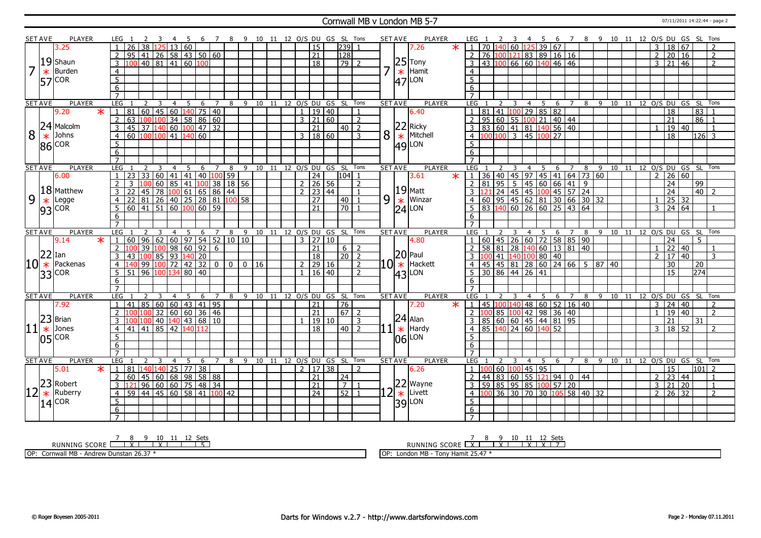#### Cornwall MB v London MB 5-7 07/11/2011 14:22:44 - page 2

|         | <b>SET AVE</b> | <b>PLAYER</b>        | LEG 1                                                                                                               | - 6                              | 7 8 9 10 11 12 O/S DU GS SL Tons |                                |              |                     |                 |                                   |   | <b>SET AVE</b> | <b>PLAYER</b>        | LEG 1            | <sup>2</sup><br>$\overline{\mathbf{3}}$                                               | -4             | - 5            |                |     |    |            |                |                |                                 |                 | 6 7 8 9 10 11 12 O/S DU GS SL Tons |
|---------|----------------|----------------------|---------------------------------------------------------------------------------------------------------------------|----------------------------------|----------------------------------|--------------------------------|--------------|---------------------|-----------------|-----------------------------------|---|----------------|----------------------|------------------|---------------------------------------------------------------------------------------|----------------|----------------|----------------|-----|----|------------|----------------|----------------|---------------------------------|-----------------|------------------------------------|
|         |                | 3.25                 | $\overline{26}$<br>$\overline{38}$<br>125                                                                           | 13 60                            |                                  |                                |              | $\overline{15}$     |                 | 239                               |   |                | $\star$<br>7.26      |                  | $1 \mid 70 \mid 140 \mid 60 \mid 125 \mid 39 \mid 67$                                 |                |                |                |     |    |            |                | 3              | 18 67                           |                 | $\mathcal{P}$                      |
|         |                |                      | 41 26 58 43 50 60<br>$\overline{2}$<br>95                                                                           |                                  |                                  |                                |              | $\overline{21}$     |                 | 128                               |   |                |                      |                  | 2 76 100 121 83 89 16 16                                                              |                |                |                |     |    |            |                | 2              | 20 16                           |                 | $\overline{2}$                     |
|         |                | $19$ Shaun           | 40 81<br> 41 <br>3                                                                                                  | 60   100                         |                                  |                                |              | $\overline{18}$     |                 | $\overline{79}$<br>$\overline{z}$ |   |                | $25$ Tony            | 3                | 43 100 66 60 140 46 46                                                                |                |                |                |     |    |            |                | 3              | $\overline{21}$                 | 46              | 2                                  |
|         | $\ast$         | Burden               | $\overline{4}$                                                                                                      |                                  |                                  |                                |              |                     |                 |                                   |   |                | Hamit                | $\overline{4}$   |                                                                                       |                |                |                |     |    |            |                |                |                                 |                 |                                    |
|         |                |                      | $\overline{5}$                                                                                                      |                                  |                                  |                                |              |                     |                 |                                   |   | $\ast$         | LON                  | $\overline{5}$   |                                                                                       |                |                |                |     |    |            |                |                |                                 |                 |                                    |
|         |                | $ 57 $ COR           | $\overline{6}$                                                                                                      |                                  |                                  |                                |              |                     |                 |                                   |   | 47             |                      |                  |                                                                                       |                |                |                |     |    |            |                |                |                                 |                 |                                    |
|         |                |                      | $\overline{7}$                                                                                                      |                                  |                                  |                                |              |                     |                 |                                   |   |                |                      | 6                |                                                                                       |                |                |                |     |    |            |                |                |                                 |                 |                                    |
|         | <b>SET AVE</b> | <b>PLAYER</b>        | LEG<br>$\overline{3}$<br>2                                                                                          | $\overline{4}$<br>5<br>6         | $\overline{7}$                   | 8 9 10 11 12 0/S DU GS SL Tons |              |                     |                 |                                   |   | <b>SET AVE</b> | <b>PLAYER</b>        | LEG <sub>1</sub> | 2<br>$\overline{\mathbf{3}}$                                                          |                | 4 5 6          | $\overline{7}$ |     |    |            |                |                |                                 |                 | 8 9 10 11 12 O/S DU GS SL Tons     |
|         |                | 9.20<br>$\ast$       | 60 45 60 140 75 40<br>81                                                                                            |                                  |                                  |                                | $\mathbf{1}$ | $\overline{19}$     | $\overline{40}$ |                                   |   |                | 6.40                 | $\overline{1}$   | $81 \mid 41 \mid 100 \mid 29 \mid 85 \mid 82$                                         |                |                |                |     |    |            |                |                | 18                              | $\overline{83}$ |                                    |
|         |                |                      | 63<br>100 100                                                                                                       |                                  |                                  |                                |              | $3 \mid 21$         | 60              |                                   |   |                |                      |                  | 95 60 55 100 21 40 44                                                                 |                |                |                |     |    |            |                |                | 21                              | 86              |                                    |
|         |                | 24 Malcolm           | $\overline{2}$<br>45 37 140 60 100 47 32                                                                            | 34   58   86   60                |                                  |                                |              |                     |                 | 2<br>$40\overline{2}$             |   |                | $22$ Ricky           |                  |                                                                                       |                |                |                |     |    |            |                |                |                                 |                 |                                    |
| 8       |                | Johns                | $\overline{3}$                                                                                                      |                                  |                                  |                                |              | 21                  |                 |                                   | 8 |                | Mitchell             |                  | 3 83 60 41 81 140 56 40<br>$4 \overline{100} \overline{100}$ 3 45 $\overline{100}$ 27 |                |                |                |     |    |            | $\mathbf{1}$   |                | 19 40                           |                 | $\mathbf{1}$                       |
|         | $\ast$         |                      | 100 100 41<br>$\overline{4}$<br>60                                                                                  | 140 60                           |                                  |                                | $\mathbf{3}$ | 18 60               |                 | 3                                 |   | $\ast$         |                      |                  |                                                                                       |                |                |                |     |    |            |                |                | 18                              |                 | 126 3                              |
|         |                | $ 86 $ COR           | 5                                                                                                                   |                                  |                                  |                                |              |                     |                 |                                   |   |                | $ 49 $ LON           | .5               |                                                                                       |                |                |                |     |    |            |                |                |                                 |                 |                                    |
|         |                |                      | 6                                                                                                                   |                                  |                                  |                                |              |                     |                 |                                   |   |                |                      | 6                |                                                                                       |                |                |                |     |    |            |                |                |                                 |                 |                                    |
|         |                |                      | $\overline{7}$                                                                                                      |                                  |                                  |                                |              |                     |                 |                                   |   |                |                      | $\overline{7}$   |                                                                                       |                |                |                |     |    |            |                |                |                                 |                 |                                    |
|         | <b>SET AVE</b> | <b>PLAYER</b>        | <b>LEG</b><br>$\overline{4}$                                                                                        | 5<br>6                           | $7^{\circ}$<br>8                 | 9 10 11 12 0/S DU GS SL        |              |                     |                 | Tons                              |   | <b>SET AVE</b> | <b>PLAYER</b>        | <b>LEG</b>       |                                                                                       | $\overline{4}$ | 5<br>6         | 7 8            |     |    |            |                |                |                                 |                 | 9 10 11 12 0/S DU GS SL Tons       |
|         |                | 6.00                 | 60<br>  33<br>23<br>$\mathbf{1}$                                                                                    | 41 41 40 100 59                  |                                  |                                |              | 24                  |                 | l104l 1                           |   |                | $\ast$<br>3.61       | 1136             | 40   45   97   45   41   64   73   60                                                 |                |                |                |     |    |            |                | $\overline{2}$ | 26 60                           |                 |                                    |
|         |                | 18 Matthew           | $\overline{2}$<br>60<br>२<br>100                                                                                    | 85 41 100 38 18 56               |                                  |                                |              | $2 \mid 26 \mid 56$ |                 | $\overline{2}$                    |   |                |                      |                  | $2 \mid 81 \mid 95 \mid 5 \mid 45 \mid 60 \mid 66 \mid 41 \mid 9$                     |                |                |                |     |    |            |                |                | 24                              | 99              |                                    |
|         |                |                      | 78<br>3<br>45                                                                                                       | 100 61 65 86 44                  |                                  |                                |              | $2 \mid 23 \mid 44$ |                 | $\mathbf{1}$                      |   |                | $ 19 $ Matt          | $3 \mid 121$     |                                                                                       |                |                |                |     |    |            |                |                | $\overline{24}$                 |                 | $\overline{40}$ 2                  |
| 9       | $\ast$         | Legge                | <u>  81   26   40   25   28   81   100   58  </u><br>$\overline{4}$                                                 |                                  |                                  |                                |              | $\overline{27}$     |                 | 40 <sup>1</sup>                   | 9 | $\ast$         | Winzar               | 4                | 60 95 45 62 81 30 66 30 32                                                            |                |                |                |     |    |            |                |                | $25 \overline{)32}$             |                 |                                    |
|         |                | $ 93 $ COR           | 5<br> 41 51 <br>60                                                                                                  | $\overline{60}$<br>$100$ 60   59 |                                  |                                |              | 21                  |                 | 70 <sup>1</sup>                   |   |                | $24$ LON             |                  | 83 140 60 26 60 25 43 64                                                              |                |                |                |     |    |            |                | 3              | $\sqrt{24}$ 64                  |                 |                                    |
|         |                |                      | 6                                                                                                                   |                                  |                                  |                                |              |                     |                 |                                   |   |                |                      | 6                |                                                                                       |                |                |                |     |    |            |                |                |                                 |                 |                                    |
|         |                |                      | $\overline{7}$                                                                                                      |                                  |                                  |                                |              |                     |                 |                                   |   |                |                      | $\overline{7}$   |                                                                                       |                |                |                |     |    |            |                |                |                                 |                 |                                    |
|         | <b>SET AVE</b> | <b>PLAYER</b>        | LEG<br>4                                                                                                            | 5<br>6                           | 7<br>8                           | 9 10 11 12 O/S DU GS SL Tons   |              |                     |                 |                                   |   | <b>SET AVE</b> | <b>PLAYER</b>        | LEG              |                                                                                       | 4              | 5<br>6         | 7              | 8 9 |    | 10 11      |                |                |                                 |                 | 12 O/S DU GS SL Tons               |
|         |                | $\ast$<br>9.14       | $\overline{96}$<br>62<br>60                                                                                         | 60<br>97 54 52 10 10             |                                  |                                |              | 3   27   10         |                 |                                   |   |                | 4.80                 | $\overline{1}$   | 60   45   26   60   72   58   85   90                                                 |                |                |                |     |    |            |                |                | 24                              | 5               |                                    |
|         |                |                      | 39<br>$\mathcal{P}$                                                                                                 | 1009860926                       |                                  |                                |              | $\overline{21}$     |                 | 6 <sup>1</sup><br>$\overline{2}$  |   |                |                      | $\overline{2}$   | 58   81   28   140   60   13   81   40                                                |                |                |                |     |    |            | $\overline{1}$ |                | $\overline{22}$                 | 40              |                                    |
|         | $ 22 $ Ian     |                      | 3<br>100<br>43                                                                                                      | 85 93 140 20                     |                                  |                                |              | 18                  |                 | 20 2                              |   |                | $ 20 $ Paul          | 3                | $\frac{131}{140}$ 100 80 40                                                           |                |                |                |     |    |            |                | $\overline{2}$ | 17 40                           |                 | 3                                  |
|         |                | $10 *$ Packenas      | $\overline{4}$                                                                                                      | 99 100 72 42 32 0                |                                  | $0$   $0$   16                 |              | $2 \mid 29 \mid 16$ |                 | $\overline{2}$                    |   |                | $10$ $\ast$ Hackett  | $\overline{4}$   | $145$   45   81   28   60   24   66   5   87   40                                     |                |                |                |     |    |            |                |                | 30                              | $\overline{20}$ |                                    |
|         |                | $ 33 $ COR           | 134<br>100                                                                                                          |                                  |                                  |                                |              |                     |                 |                                   |   |                |                      |                  |                                                                                       |                |                |                |     |    |            |                |                |                                 |                 |                                    |
|         |                |                      | $\sqrt{96}$<br>5 <sup>2</sup><br>51                                                                                 | 80   40                          |                                  |                                |              | $1 \mid 16 \mid 40$ |                 | 2                                 |   |                |                      |                  | $5 \ 30 \ 86 \ 44 \ 26 \ 41$                                                          |                |                |                |     |    |            |                |                | $\overline{15}$                 | 274             |                                    |
|         |                |                      | $6\overline{6}$                                                                                                     |                                  |                                  |                                |              |                     |                 |                                   |   |                | $ 43 $ LON           | 6                |                                                                                       |                |                |                |     |    |            |                |                |                                 |                 |                                    |
|         |                |                      | $\overline{7}$                                                                                                      |                                  |                                  |                                |              |                     |                 |                                   |   |                |                      | $\overline{7}$   |                                                                                       |                |                |                |     |    |            |                |                |                                 |                 |                                    |
|         | <b>SET AVE</b> | <b>PLAYER</b>        | LEG                                                                                                                 | -6                               | $\overline{7}$<br>8              | 9 10 11 12 O/S DU GS SL Tons   |              |                     |                 |                                   |   | <b>SET AVE</b> | <b>PLAYER</b>        | LEG              |                                                                                       |                | 6              | $\overline{7}$ | 8   | -9 | 10<br>- 11 |                |                |                                 |                 | 12 O/S DU GS SL Tons               |
|         |                | 7.92                 | 85<br>$\mathbf{1}$<br>41                                                                                            | 60   60   43   41   95           |                                  |                                |              | $\overline{21}$     |                 | 76                                |   |                | 7.20<br>$\ast$       | $1 \t 45 \t 100$ | 40                                                                                    |                | 48 60 52 16 40 |                |     |    |            |                | 3              | $\overline{24}$<br>$ 40\rangle$ |                 | $\overline{\phantom{a}}$           |
|         |                |                      | 32 <br>$\overline{2}$<br>100 100 1                                                                                  | 60 60 36 46                      |                                  |                                |              | $\overline{21}$     |                 | $\overline{67}$<br>$\overline{2}$ |   |                |                      |                  | 2 100 85 100 42 98 36 40                                                              |                |                |                |     |    |            | $\overline{1}$ |                | 19 40                           |                 | $\overline{2}$                     |
|         |                | $ 23 $ Brian         | 40<br>3                                                                                                             | 140 43 68 10                     |                                  |                                |              | 19 10               |                 | 3                                 |   |                | $24$ Alan            | 3                | 85 60 60 45 44 81 95                                                                  |                |                |                |     |    |            |                |                | 21                              | 31              |                                    |
| $ 11 *$ |                | Jones                | 41 85 <br>42<br>$\overline{4}$<br>41                                                                                | 140 112                          |                                  |                                |              | $\overline{18}$     |                 | 40 l<br>$\overline{2}$            |   | $\ast$         | Hardy                | $\overline{4}$   | 85 140 24 60 140 52                                                                   |                |                |                |     |    |            |                | $\overline{3}$ | 18 52                           |                 | $\overline{2}$                     |
|         |                |                      | $\overline{5}$                                                                                                      |                                  |                                  |                                |              |                     |                 |                                   |   |                | LON                  | $\overline{5}$   |                                                                                       |                |                |                |     |    |            |                |                |                                 |                 |                                    |
|         |                | $ 05 $ COR           | 6                                                                                                                   |                                  |                                  |                                |              |                     |                 |                                   |   | 106            |                      | 6                |                                                                                       |                |                |                |     |    |            |                |                |                                 |                 |                                    |
|         |                |                      | $\overline{7}$                                                                                                      |                                  |                                  |                                |              |                     |                 |                                   |   |                |                      | $\overline{7}$   |                                                                                       |                |                |                |     |    |            |                |                |                                 |                 |                                    |
|         | <b>SET AVE</b> | PLAYER               | LEG<br>$\mathcal{L}$<br>-3                                                                                          | $\overline{4}$<br>5<br>- 6       | $\overline{7}$<br>8              | 9 10 11 12 0/S DU GS SL Tons   |              |                     |                 |                                   |   | <b>SET AVE</b> | <b>PLAYER</b>        | LEG              | $\overline{2}$<br>3                                                                   |                | 4 5 6 7        |                | - 8 |    |            |                |                |                                 |                 | 9 10 11 12 O/S DU GS SL Tons       |
|         |                | 5.01<br>$\ast$       | 140 140 25 77 38<br>  81<br>$\overline{1}$                                                                          |                                  |                                  |                                |              | $2 \mid 17 \mid 38$ |                 | $\mathcal{L}$                     |   |                | 6.26                 | 1 100            | 60 100 45 95                                                                          |                |                |                |     |    |            |                |                | 15                              |                 | $101$ 2                            |
|         |                |                      | $\overline{2}$<br>60                                                                                                | 45 60 68 98 58 88                |                                  |                                |              | 21                  |                 | 24                                |   |                |                      | 2<br>44          | 83 60 55 121                                                                          |                |                | $94$ 0 44      |     |    |            |                | 2              | $\overline{23}$<br>44           |                 | $\mathbf{1}$                       |
|         |                |                      | $\mathbf{3}$<br>121                                                                                                 | 96 60 60 75 48 34                |                                  |                                |              | $\overline{21}$     |                 | $\overline{7}$                    |   |                |                      |                  | 3   59   85   95   85   100   57   20                                                 |                |                |                |     |    |            |                | $\overline{3}$ | $\overline{21}$<br>20           |                 | $\overline{1}$                     |
|         |                | 23 Robert<br>Ruberry | $\boxed{44}$ $\boxed{45}$ $\boxed{60}$ $\boxed{58}$ $\boxed{41}$ $\boxed{100}$ $\boxed{42}$<br>$\overline{4}$<br>59 |                                  |                                  |                                |              | $\sqrt{24}$         |                 | 52<br>$\overline{1}$              |   |                | $22$ Wayne<br>Livett | 4 100            | 36 30 70 30 105 58 40 32                                                              |                |                |                |     |    |            |                | 2              | $26 \overline{)32}$             |                 | $\overline{\phantom{a}}$           |
|         | $\ast$         |                      | 5                                                                                                                   |                                  |                                  |                                |              |                     |                 |                                   |   | $\ast$         |                      | 5                |                                                                                       |                |                |                |     |    |            |                |                |                                 |                 |                                    |
|         |                | $14$ $ ^{COR}$       | 6                                                                                                                   |                                  |                                  |                                |              |                     |                 |                                   |   | 39             | LON                  | $6\overline{6}$  |                                                                                       |                |                |                |     |    |            |                |                |                                 |                 |                                    |

RUNNING SCORE 7 8 X 9 10 X 11 12 Sets 5

OP: Cornwall MB - Andrew Dunstan 26.37 \*

RUNNING SCORE 7 X 8 9 X 10 11 X 12 X Sets 7

OP: London MB - Tony Hamit 25.47 \*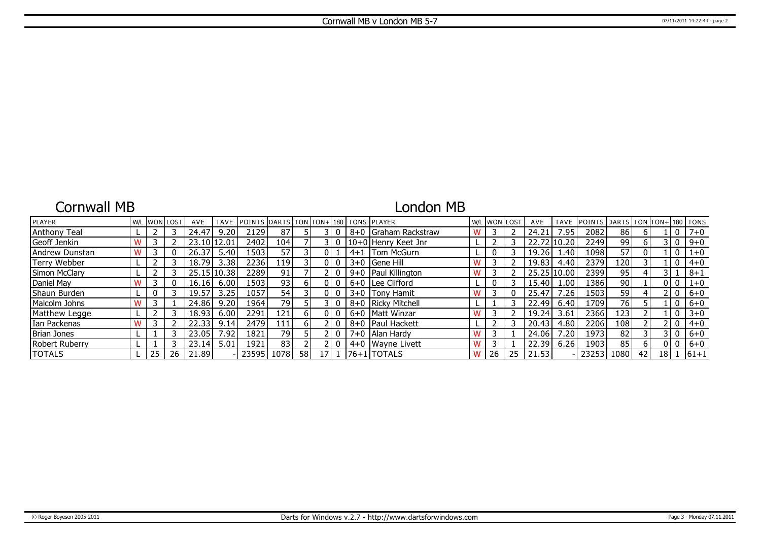## Cornwall MB

## London MB

| PLAYER                |    | <b>W/L WON LOST</b> | AVE         | <b>TAVE</b> | <b>IPOINTS DARTS TON FON+1180 TONS IPLAYER</b> |       |    |    |  |                       |    | W/L WON LOST | AVE   | <b>TAVE</b>    | <b>POINTS</b> | DARTS TON TON+ 180 TONS |    |      |         |
|-----------------------|----|---------------------|-------------|-------------|------------------------------------------------|-------|----|----|--|-----------------------|----|--------------|-------|----------------|---------------|-------------------------|----|------|---------|
| Anthony Teal          |    |                     | 24.47       | 9.20        | 2129                                           | 87    |    |    |  | 8+0 Graham Rackstraw  |    |              | 24.21 | : 95           | 2082          | 86                      |    |      | $7 + 0$ |
| Geoff Jenkin          |    |                     | 23.10 12.01 |             | 2402                                           | 104 l |    |    |  | 10+0 Henry Keet Jnr   |    |              |       | 22.72 10.20    | 2249          | 99                      |    |      | $9 + 0$ |
| Andrew Dunstan        |    |                     | 26.37       | 5.40        | 1503                                           | 57    |    |    |  | 4+1   Tom McGurn      |    |              | 19.26 | 1.40           | 1098          | $\overline{57}$         |    |      | $1 + 0$ |
| Terry Webber          |    |                     | 18.79       | 3.38        | 2236                                           | 119 l |    |    |  | $3+0$ Gene Hill       |    |              | 19.83 | 4.40           | 2379          | 120                     |    |      | $4 + 0$ |
| Simon McClary         |    |                     |             | 25.15 10.38 | 22891                                          | 91,   |    |    |  | 9+0   Paul Killington |    |              |       | 25.25 10.00    | 2399          | 95                      |    |      | $8 + 1$ |
| Daniel May            |    |                     | 16.16       | 6.00        | 1503                                           | 93    |    |    |  | $6+0$ Lee Clifford    | 0  |              | 15.40 | 1.00           | 1386          | 90                      |    |      | $1 + 0$ |
| Shaun Burden          |    |                     | 19.57       | 3.25        | 1057                                           | 54    |    |    |  | 3+0 Tony Hamit        |    |              | 25.47 | 26'            | 1503          | 59                      |    |      | $6+0$   |
| Malcolm Johns         |    |                     | 24.86       | 9.20        | 1964                                           | 79    |    |    |  | 8+0   Ricky Mitchell  |    |              | 22.49 | 6.40           | 1709          | 76                      |    |      | $6 + 0$ |
| Matthew Legge         |    |                     | 18.93       | 6.00        | 2291                                           | 121   | 61 |    |  | 6+0   Matt Winzar     |    |              | 19.24 | 3.61           | 2366          | 123 <sup>1</sup>        |    |      | $3 + 0$ |
| Ian Packenas          |    |                     | 22.33       | 9.14        | 2479                                           | 111   | 61 |    |  | 8+0   Paul Hackett    |    |              | 20.43 | 4.80           | 2206          | 108                     |    |      | $4 + 0$ |
| Brian Jones           |    |                     | 23.05       | 7.92        | 1821                                           | 79    |    |    |  | 7+0   Alan Hardy      |    |              | 24.06 | $^{\prime}.20$ | 1973          | 82                      |    |      | $6+0$   |
| <b>Robert Ruberry</b> |    |                     | 23.14       | 5.01        | 1921                                           | 83    |    |    |  | 4+0 Wayne Livett      |    |              | 22.39 | 6.26           | 1903          | 85                      |    |      | $6+0$   |
| <b>TOTALS</b>         | 25 | 26                  | 21.89       |             | 23595                                          | 1078  | 58 | 17 |  | 176+11TOTALS          | 26 | 25           | 21.53 |                | 23253         | 1080                    | 42 | 18 I | $ 61+1$ |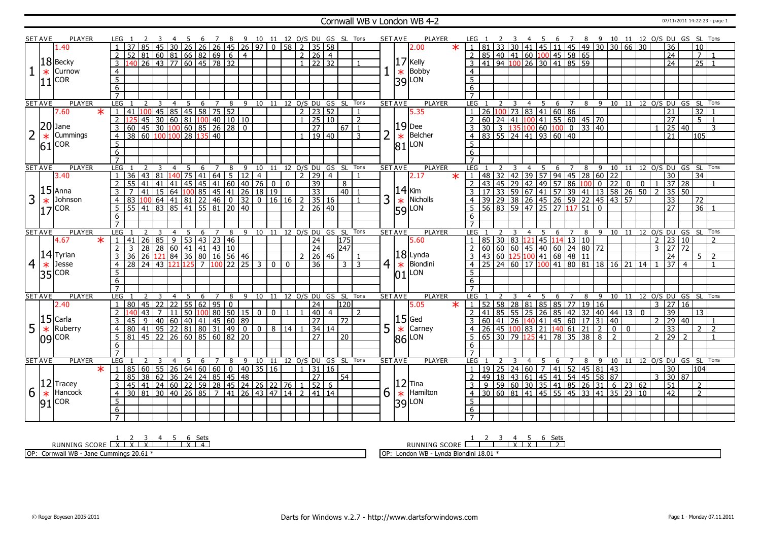### Cornwall WB v London WB 4-2 07/11/2011 14:22:23 - page 1

|                | <b>SET AVE</b> | PLAYER         | LEG 1               |                                                                                                                                                                                                                                                                                                       |                     |                                                                 |    |    |                |                                       |                                                                   |                |                         |                                 |                 |                |                                                                                        |                |                | PLAYER<br>SET AVE                |                   | LEG 1                                                                                                                                                                 |                 |    |             |                |                      |        |         |                  |                                                                               |                 |       |               |                                        |                | 4 5 6 7 8 9 10 11 12 0/S DU GS SL Tons |
|----------------|----------------|----------------|---------------------|-------------------------------------------------------------------------------------------------------------------------------------------------------------------------------------------------------------------------------------------------------------------------------------------------------|---------------------|-----------------------------------------------------------------|----|----|----------------|---------------------------------------|-------------------------------------------------------------------|----------------|-------------------------|---------------------------------|-----------------|----------------|----------------------------------------------------------------------------------------|----------------|----------------|----------------------------------|-------------------|-----------------------------------------------------------------------------------------------------------------------------------------------------------------------|-----------------|----|-------------|----------------|----------------------|--------|---------|------------------|-------------------------------------------------------------------------------|-----------------|-------|---------------|----------------------------------------|----------------|----------------------------------------|
|                |                | 1.40           |                     |                                                                                                                                                                                                                                                                                                       |                     |                                                                 |    |    |                |                                       |                                                                   |                |                         |                                 |                 |                | 2 3 4 5 6 7 8 9 10 11 12 O/S DU GS SL Tons<br> 85 45 30 26 26 26 45 26 97 0 58 2 35 58 |                |                | 2.00                             | $\ast$            | $\overline{1}$                                                                                                                                                        | 81              |    |             |                |                      |        |         |                  | 33 30 41 45 11 45 49 30 30 66 30                                              |                 |       |               | $\overline{36}$                        |                | $\overline{10}$                        |
|                |                |                | <sup>2</sup>        | $52 \ 81 \ 60 \ 81 \ 66 \ 82 \ 69 \ 6$                                                                                                                                                                                                                                                                |                     |                                                                 |    |    |                |                                       | $\overline{4}$                                                    |                |                         | 2 26 4                          |                 |                |                                                                                        |                |                |                                  |                   |                                                                                                                                                                       |                 |    |             |                |                      |        |         |                  |                                                                               |                 |       |               | $\overline{24}$                        |                | 7 <sup>1</sup><br>- 1                  |
|                |                | $ 18 $ Becky   |                     |                                                                                                                                                                                                                                                                                                       |                     |                                                                 |    |    |                |                                       |                                                                   |                |                         | $1 \overline{22} \overline{32}$ |                 |                |                                                                                        |                |                | $17$ Kelly                       |                   | 2 85 40 41 60 100 45 58 65<br>3 41 94 100 26 30 41 85 59                                                                                                              |                 |    |             |                |                      |        |         |                  |                                                                               |                 |       |               |                                        |                |                                        |
|                |                |                | $\overline{3}$      |                                                                                                                                                                                                                                                                                                       |                     | 140 26 43 77 60 45 78 32                                        |    |    |                |                                       |                                                                   |                |                         |                                 |                 |                |                                                                                        |                |                |                                  |                   |                                                                                                                                                                       |                 |    |             |                |                      |        |         |                  |                                                                               |                 |       |               | $\overline{24}$                        |                | $\overline{25}$<br>$\overline{1}$      |
|                | $\ast$         | Curnow         | $\overline{4}$      |                                                                                                                                                                                                                                                                                                       |                     |                                                                 |    |    |                |                                       |                                                                   |                |                         |                                 |                 |                |                                                                                        |                |                | Bobby                            |                   | $\overline{4}$                                                                                                                                                        |                 |    |             |                |                      |        |         |                  |                                                                               |                 |       |               |                                        |                |                                        |
|                |                | $ 11 $ COR     | 5                   |                                                                                                                                                                                                                                                                                                       |                     |                                                                 |    |    |                |                                       |                                                                   |                |                         |                                 |                 |                |                                                                                        |                |                | $\frac{1}{39}$ Bobb              |                   | $\overline{5}$                                                                                                                                                        |                 |    |             |                |                      |        |         |                  |                                                                               |                 |       |               |                                        |                |                                        |
|                |                |                | 6                   |                                                                                                                                                                                                                                                                                                       |                     |                                                                 |    |    |                |                                       |                                                                   |                |                         |                                 |                 |                |                                                                                        |                |                |                                  |                   | 6                                                                                                                                                                     |                 |    |             |                |                      |        |         |                  |                                                                               |                 |       |               |                                        |                |                                        |
|                |                |                |                     |                                                                                                                                                                                                                                                                                                       |                     |                                                                 |    |    |                |                                       |                                                                   |                |                         |                                 |                 |                |                                                                                        |                |                |                                  |                   |                                                                                                                                                                       |                 |    |             |                |                      |        |         |                  |                                                                               |                 |       |               |                                        |                |                                        |
|                | <b>SET AVE</b> | <b>PLAYER</b>  | LEG                 |                                                                                                                                                                                                                                                                                                       | $\overline{3}$      | $\overline{4}$                                                  |    |    |                | 5 6 7 8                               |                                                                   |                |                         |                                 |                 |                | 9 10 11 12 O/S DU GS SL Tons                                                           |                |                | <b>SET AVE</b><br><b>PLAYER</b>  |                   | LEG                                                                                                                                                                   |                 |    |             |                |                      |        |         |                  |                                                                               |                 |       |               |                                        |                | 4 5 6 7 8 9 10 11 12 O/S DU GS SL Tons |
|                |                | 7.60<br>$\ast$ |                     | 41                                                                                                                                                                                                                                                                                                    |                     | $\boxed{100}$ 45   85   45   58   75   52                       |    |    |                |                                       |                                                                   |                |                         | $2$   23   52                   |                 |                |                                                                                        |                |                | 5.35                             |                   |                                                                                                                                                                       | 26              |    |             |                | $100$ 73 83 41 60 86 |        |         |                  |                                                                               |                 |       |               | 21                                     |                | 32                                     |
|                |                |                | $\overline{2}$      |                                                                                                                                                                                                                                                                                                       |                     |                                                                 |    |    |                |                                       |                                                                   |                |                         | $1 \mid 25 \mid 10$             |                 |                | 2                                                                                      |                |                |                                  |                   | 2                                                                                                                                                                     |                 |    |             |                |                      |        |         |                  |                                                                               |                 |       |               | $\overline{27}$                        |                | $5\vert 1$                             |
|                |                | $ 20 $ Jane    | 3                   |                                                                                                                                                                                                                                                                                                       |                     | $\frac{1}{45}$ 30 60 81 100 40 10 10<br>45 30 100 60 85 26 28 0 |    |    |                |                                       |                                                                   |                |                         |                                 | $\overline{27}$ |                | $67$   1                                                                               |                |                | $\frac{19}{*}$ Dee               |                   | 3                                                                                                                                                                     |                 |    |             |                |                      |        |         |                  |                                                                               |                 |       |               | 25                                     | 40             | 3                                      |
|                |                | Cummings       | $\overline{4}$      |                                                                                                                                                                                                                                                                                                       |                     |                                                                 |    |    | 40             |                                       |                                                                   |                |                         | $1 \mid 19 \mid 40$             |                 |                | $\mathbf{R}$                                                                           | $\overline{2}$ |                |                                  |                   | $\overline{4}$                                                                                                                                                        |                 |    |             |                |                      |        |         |                  |                                                                               |                 |       |               | 21                                     |                | 105                                    |
|                | $\ast$         |                |                     |                                                                                                                                                                                                                                                                                                       |                     |                                                                 |    |    |                |                                       |                                                                   |                |                         |                                 |                 |                |                                                                                        |                |                | $\ast$                           |                   |                                                                                                                                                                       |                 |    |             |                |                      |        |         |                  |                                                                               |                 |       |               |                                        |                |                                        |
|                | 61             | <b>COR</b>     | 5                   |                                                                                                                                                                                                                                                                                                       |                     |                                                                 |    |    |                |                                       |                                                                   |                |                         |                                 |                 |                |                                                                                        |                |                | LON<br>81                        |                   | 5                                                                                                                                                                     |                 |    |             |                |                      |        |         |                  |                                                                               |                 |       |               |                                        |                |                                        |
|                |                |                | 6                   |                                                                                                                                                                                                                                                                                                       |                     |                                                                 |    |    |                |                                       |                                                                   |                |                         |                                 |                 |                |                                                                                        |                |                |                                  |                   | 6                                                                                                                                                                     |                 |    |             |                |                      |        |         |                  |                                                                               |                 |       |               |                                        |                |                                        |
|                |                |                | $\overline{7}$      |                                                                                                                                                                                                                                                                                                       |                     |                                                                 |    |    |                |                                       |                                                                   |                |                         |                                 |                 |                |                                                                                        |                |                |                                  |                   | $\overline{7}$                                                                                                                                                        |                 |    |             |                |                      |        |         |                  |                                                                               |                 |       |               |                                        |                |                                        |
|                | <b>SET AVE</b> | <b>PLAYER</b>  | LEG 1               |                                                                                                                                                                                                                                                                                                       | $\mathcal{L}$<br>-3 | $\overline{4}$                                                  | -5 | -6 | $7^{\circ}$    | 8                                     | 9                                                                 |                |                         |                                 |                 |                | 10 11 12 0/S DU GS SL Tons                                                             |                |                | <b>SET AVE</b><br><b>PLAYER</b>  |                   | LEG 1                                                                                                                                                                 |                 |    |             | 4              | - 5<br>- 6           |        | 78      |                  |                                                                               |                 |       |               |                                        |                | 9 10 11 12 0/S DU GS SL Tons           |
|                |                | 3.40           | $\overline{1}$      | $36$ 43 81 140 75 41 64 5                                                                                                                                                                                                                                                                             |                     |                                                                 |    |    |                |                                       | 12                                                                | $\overline{4}$ |                         | 2 29                            |                 | $\overline{4}$ | $\mathbf{1}$                                                                           |                |                | 2.17                             | $\overline{\ast}$ | $\vert$ 1                                                                                                                                                             |                 |    |             |                |                      |        |         |                  | 48   32   42   39   57   94   45   28   60   22                               |                 |       |               | 30                                     |                | $\overline{34}$                        |
|                |                |                |                     | 55  41  41                                                                                                                                                                                                                                                                                            |                     |                                                                 |    |    |                |                                       |                                                                   |                |                         |                                 | $\overline{39}$ |                | 8                                                                                      |                |                |                                  |                   | $\overline{2}$                                                                                                                                                        |                 |    |             |                |                      |        |         |                  |                                                                               |                 |       |               |                                        |                |                                        |
|                |                | $15$ Anna      |                     |                                                                                                                                                                                                                                                                                                       |                     |                                                                 |    |    |                |                                       | 141 41 41 45 45 41 60 40 76 0 0<br>41 15 64 100 85 45 41 26 18 19 |                |                         |                                 | $\overline{33}$ |                | $\boxed{40}$ $\boxed{1}$                                                               |                |                | $ 14 $ Kim                       |                   |                                                                                                                                                                       |                 |    |             |                |                      |        |         |                  |                                                                               |                 |       |               |                                        |                |                                        |
| 3              | $\ast$         | Johnson        | $\overline{4}$      | <u>3<br/>83 100 64 41 81 22 46 0 32<br/>55 41 83 85 41 55 81 20 40</u>                                                                                                                                                                                                                                |                     |                                                                 |    |    |                |                                       | $\overline{32}$                                                   | 0 16 16        |                         | $2 \mid 35 \mid 16$             |                 |                |                                                                                        | 3              |                | Nicholls<br>$\frac{*}{59}$ Nicho |                   | 2 43 45 29 42 49 57 86 100 0 22 0 0 1 37 28<br>3 17 33 59 67 41 57 39 41 13 58 26 50 2 35 50<br>4 39 29 38 26 45 26 59 22 45 43 57<br>5 56 83 59 47 25 27 117 51 0 27 |                 |    |             |                |                      |        |         |                  |                                                                               |                 |       |               |                                        |                | 72                                     |
|                | 17             | <b>COR</b>     |                     |                                                                                                                                                                                                                                                                                                       |                     |                                                                 |    |    |                |                                       |                                                                   |                |                         | $\overline{2}$                  | $26 \mid 40$    |                |                                                                                        |                |                |                                  |                   |                                                                                                                                                                       |                 |    |             |                |                      |        |         |                  |                                                                               |                 |       |               |                                        |                | $\overline{36}$                        |
|                |                |                | 6                   |                                                                                                                                                                                                                                                                                                       |                     |                                                                 |    |    |                |                                       |                                                                   |                |                         |                                 |                 |                |                                                                                        |                |                |                                  |                   | 6                                                                                                                                                                     |                 |    |             |                |                      |        |         |                  |                                                                               |                 |       |               |                                        |                |                                        |
|                |                |                | $\overline{7}$      |                                                                                                                                                                                                                                                                                                       |                     |                                                                 |    |    |                |                                       |                                                                   |                |                         |                                 |                 |                |                                                                                        |                |                |                                  |                   | $\overline{7}$                                                                                                                                                        |                 |    |             |                |                      |        |         |                  |                                                                               |                 |       |               |                                        |                |                                        |
|                |                |                |                     |                                                                                                                                                                                                                                                                                                       |                     |                                                                 |    |    |                |                                       |                                                                   |                |                         |                                 |                 |                |                                                                                        |                |                |                                  |                   |                                                                                                                                                                       |                 |    |             |                |                      |        |         |                  |                                                                               |                 |       |               |                                        |                | 8 9 10 11 12 0/S DU GS SL Tons         |
|                | <b>SET AVE</b> | <b>PLAYER</b>  | LEG                 |                                                                                                                                                                                                                                                                                                       | 3                   | $\overline{4}$                                                  | 5  | 6  | $\overline{7}$ | 8                                     | 9                                                                 |                |                         |                                 |                 |                | 10 11 12 O/S DU GS SL Tons                                                             |                |                | <b>SET AVE</b><br><b>PLAYER</b>  |                   | LEG                                                                                                                                                                   |                 |    |             | 4              | 5                    | 6<br>7 |         |                  |                                                                               |                 |       |               |                                        |                |                                        |
|                |                | $\ast$         | $\mathbf{1}$        | 41                                                                                                                                                                                                                                                                                                    |                     |                                                                 |    |    |                |                                       |                                                                   |                |                         |                                 |                 |                |                                                                                        |                |                |                                  |                   |                                                                                                                                                                       |                 |    |             |                |                      |        |         |                  |                                                                               |                 |       | $\mathcal{P}$ |                                        | 10             |                                        |
|                |                | 4.67           | $\overline{2}$      |                                                                                                                                                                                                                                                                                                       | $\overline{26}$     | 859                                                             |    |    |                | $\vert 53 \vert 43 \vert 23 \vert 46$ |                                                                   |                |                         |                                 | $\overline{24}$ |                | 175                                                                                    |                |                | 5.60                             |                   |                                                                                                                                                                       |                 |    |             |                |                      |        |         |                  |                                                                               |                 |       |               | $\overline{23}$<br>$3 \mid 27 \mid 72$ |                |                                        |
|                |                |                |                     |                                                                                                                                                                                                                                                                                                       |                     |                                                                 |    |    |                |                                       |                                                                   |                |                         |                                 | $\overline{24}$ |                | 247                                                                                    |                |                |                                  |                   |                                                                                                                                                                       |                 |    |             |                |                      |        |         |                  |                                                                               |                 |       |               |                                        |                | $\overline{2}$                         |
|                |                | $ 14 $ Tyrian  | 3                   | $\frac{12}{3}$ $\frac{128}{28}$ $\frac{128}{60}$ $\frac{121}{41}$ $\frac{121}{43}$ $\frac{121}{10}$<br>$\frac{121}{36}$ $\frac{121}{36}$ $\frac{121}{36}$ $\frac{121}{36}$ $\frac{126}{36}$ $\frac{121}{36}$ $\frac{121}{36}$ $\frac{121}{36}$ $\frac{121}{36}$ $\frac{121}{36}$ $\frac{121}{36}$ $\$ |                     |                                                                 |    |    |                |                                       |                                                                   |                |                         | $2 \mid 26 \mid 46$             |                 |                |                                                                                        |                |                | $ 18 $ Lynda                     |                   |                                                                                                                                                                       |                 |    |             |                |                      |        |         |                  |                                                                               |                 |       |               | 24                                     | $\overline{4}$ | $5-1$<br>$\blacksquare$                |
| $\overline{4}$ | $\ast$         | Jesse          | $\overline{4}$      | 28 24 43 121 125 7 100 22 25 3                                                                                                                                                                                                                                                                        |                     |                                                                 |    |    |                |                                       |                                                                   |                | 0 <sub>0</sub>          |                                 | 36              |                | $3 \mid 3$                                                                             |                | 4 <sup>1</sup> | Biondini<br>$\mathbf{R}$         |                   |                                                                                                                                                                       |                 |    |             |                |                      |        |         |                  |                                                                               |                 |       |               | 37                                     |                |                                        |
|                |                | $35$ $ COR$    | 5                   |                                                                                                                                                                                                                                                                                                       |                     |                                                                 |    |    |                |                                       |                                                                   |                |                         |                                 |                 |                |                                                                                        |                |                | LON<br>10                        |                   | 5 <sup>5</sup>                                                                                                                                                        |                 |    |             |                |                      |        |         |                  |                                                                               |                 |       |               |                                        |                |                                        |
|                |                |                | $6\overline{6}$     |                                                                                                                                                                                                                                                                                                       |                     |                                                                 |    |    |                |                                       |                                                                   |                |                         |                                 |                 |                |                                                                                        |                |                |                                  |                   | 6                                                                                                                                                                     |                 |    |             |                |                      |        |         |                  |                                                                               |                 |       |               |                                        |                |                                        |
|                |                |                | $\overline{7}$      |                                                                                                                                                                                                                                                                                                       |                     |                                                                 |    |    |                |                                       |                                                                   |                |                         |                                 |                 |                |                                                                                        |                |                |                                  |                   | $\overline{7}$                                                                                                                                                        |                 |    |             |                |                      |        |         |                  |                                                                               |                 |       |               |                                        |                |                                        |
|                | <b>SET AVE</b> | PLAYER         | LEG                 |                                                                                                                                                                                                                                                                                                       | 2<br>3              | $\overline{4}$                                                  | -5 | 6  | $\overline{7}$ | 8                                     |                                                                   |                |                         |                                 |                 |                | 9 10 11 12 O/S DU GS SL Tons                                                           |                |                | PLAYER<br><b>SET AVE</b>         |                   | <b>LEG</b>                                                                                                                                                            |                 |    |             | $\overline{4}$ | 5                    |        |         |                  |                                                                               |                 |       |               |                                        |                | 6 7 8 9 10 11 12 O/S DU GS SL Tons     |
|                |                | 2.40           | $\overline{1}$      | 80 45 22 22                                                                                                                                                                                                                                                                                           |                     |                                                                 |    |    | 55 62 95 0     |                                       |                                                                   |                |                         |                                 | 24              |                | 120                                                                                    |                |                | 5.05                             | $\star$           | $1 \mid 52 \mid 58 \mid 28 \mid 81 \mid 85 \mid 85 \mid 77 \mid 19 \mid 16$                                                                                           |                 |    |             |                |                      |        |         |                  |                                                                               |                 |       |               | $3 \mid 27 \mid 16$                    |                |                                        |
|                |                |                |                     |                                                                                                                                                                                                                                                                                                       | 43                  | 11                                                              | 50 |    |                | 1008050                               | 15                                                                | 0 <sup>1</sup> | $\boxed{0}$ $\boxed{1}$ |                                 | $\overline{40}$ | $\overline{4}$ | $\mathcal{L}$                                                                          |                |                |                                  |                   | $\mathcal{L}$                                                                                                                                                         | 41 85           |    | 55 25       |                | $\overline{26}$      |        |         |                  | 85 42 32 40 44 13 0                                                           |                 |       |               | 39                                     |                | 13                                     |
|                |                | $ 15 $ Carla   | 3                   |                                                                                                                                                                                                                                                                                                       | $\overline{9}$      | 40   60   40   41   45   60   89                                |    |    |                |                                       |                                                                   |                |                         |                                 | 27              |                | $\overline{72}$                                                                        |                |                | Ged                              |                   |                                                                                                                                                                       |                 |    |             |                |                      |        |         |                  | 60 41 26 140 41 45 60 17 31 40                                                |                 |       |               | $2 \ 29 \ 40$                          |                |                                        |
| 5              | $\ast$         | Ruberry        | $\overline{4}$      |                                                                                                                                                                                                                                                                                                       |                     | 41 95 22 81 80 31 49                                            |    |    |                |                                       | $\boxed{0}$                                                       | $\boxed{0}$    | $8 \mid 14$             |                                 | 34 14           |                |                                                                                        |                | 5              | Carney                           |                   |                                                                                                                                                                       | $\overline{26}$ | 45 |             | 100 83 21      | 140                  |        | $61$ 21 | 2                | $\overline{0}$                                                                | $\mathbf 0$     |       |               | $\overline{33}$                        |                | $\overline{2}$<br>$\overline{2}$       |
|                |                |                | -5                  | 81 45 22 26 60 85 60 82                                                                                                                                                                                                                                                                               |                     |                                                                 |    |    |                |                                       | 20                                                                |                |                         |                                 | 27              |                | 20                                                                                     |                |                | $\frac{15}{*}$                   |                   | 5                                                                                                                                                                     | 65 30 79        |    |             | $25 \; 41$     |                      |        |         | 78   35   38   8 | $\overline{2}$                                                                |                 |       | 2 29          |                                        | $\overline{2}$ |                                        |
|                |                | $ 09 $ COR     | 6                   |                                                                                                                                                                                                                                                                                                       |                     |                                                                 |    |    |                |                                       |                                                                   |                |                         |                                 |                 |                |                                                                                        |                |                | $ 86 $ LON                       |                   | 6                                                                                                                                                                     |                 |    |             |                |                      |        |         |                  |                                                                               |                 |       |               |                                        |                |                                        |
|                |                |                |                     |                                                                                                                                                                                                                                                                                                       |                     |                                                                 |    |    |                |                                       |                                                                   |                |                         |                                 |                 |                |                                                                                        |                |                |                                  |                   |                                                                                                                                                                       |                 |    |             |                |                      |        |         |                  |                                                                               |                 |       |               |                                        |                |                                        |
|                |                | <b>PLAYER</b>  | LEG                 |                                                                                                                                                                                                                                                                                                       | 3                   | $\overline{4}$                                                  | 5  |    | $\overline{7}$ | 8                                     |                                                                   |                |                         |                                 |                 |                |                                                                                        |                |                |                                  |                   | LEG                                                                                                                                                                   |                 |    |             |                | 5                    | 6<br>7 | 8       | 9                |                                                                               |                 |       |               |                                        |                |                                        |
|                | <b>SET AVE</b> |                | $\mathbf{1}$        |                                                                                                                                                                                                                                                                                                       |                     |                                                                 |    | 6  |                |                                       | 9                                                                 | 10             | 11                      |                                 |                 |                | 12 O/S DU GS SL Tons                                                                   |                |                | <b>SET AVE</b><br><b>PLAYER</b>  |                   | $\overline{1}$                                                                                                                                                        |                 |    |             |                |                      |        |         |                  |                                                                               |                 |       |               |                                        |                | 10 11 12 0/S DU GS SL Tons<br>104      |
|                |                | $\ast$         |                     |                                                                                                                                                                                                                                                                                                       |                     |                                                                 |    |    |                |                                       |                                                                   |                |                         | $1 \mid 31 \mid 16$             |                 |                |                                                                                        |                |                |                                  |                   |                                                                                                                                                                       | 19 25           |    | 24 60       |                | 41<br>$\overline{7}$ |        |         |                  | $52$ 45 81 43                                                                 |                 |       |               | 30                                     |                |                                        |
|                |                |                | 2                   |                                                                                                                                                                                                                                                                                                       |                     |                                                                 |    |    |                |                                       |                                                                   |                |                         |                                 | $\overline{27}$ |                | 54                                                                                     |                |                |                                  |                   | 2                                                                                                                                                                     |                 |    | 49 18 43 61 |                |                      |        |         |                  | $\boxed{45}$ $\boxed{41}$ $\boxed{54}$ $\boxed{45}$ $\boxed{58}$ $\boxed{87}$ |                 |       | $\mathbf{3}$  | 30 87                                  |                |                                        |
|                |                | $ 12 $ Tracey  | 3                   | 85 60 55 26 64 60 60 0 40 35 16<br>85 38 62 36 24 24 85 45 48<br>45 41 24 60 22 59 28 45 24 26 22 76                                                                                                                                                                                                  |                     |                                                                 |    |    |                |                                       |                                                                   |                |                         | 1   52                          |                 | 6              |                                                                                        |                |                | $ 12 $ Tina                      |                   | $\overline{3}$                                                                                                                                                        | $\mathsf q$     |    |             |                |                      |        |         |                  | $6\overline{}$                                                                |                 | 23 62 |               | 51                                     |                | 2                                      |
| 6              | $\ast$         | Hancock        | $\overline{4}$      | $30 \ 81 \ 30 \ 40 \ 26 \ 85$                                                                                                                                                                                                                                                                         |                     |                                                                 |    |    | $\overline{2}$ | 41                                    | $26$ 43 47 14                                                     |                |                         | $\overline{2}$                  | 41 14           |                |                                                                                        |                | 6              | Hamilton<br>$\ast$               |                   | 4 30 60 81 41 45 55 45 33 41 35                                                                                                                                       |                 |    |             |                |                      |        |         |                  |                                                                               | $\overline{23}$ | 10    |               | $\overline{42}$                        |                | $\overline{2}$                         |
|                | 91             | <b>COR</b>     | $5^{\circ}$         |                                                                                                                                                                                                                                                                                                       |                     |                                                                 |    |    |                |                                       |                                                                   |                |                         |                                 |                 |                |                                                                                        |                |                | $ 39 $ LON                       |                   | 5                                                                                                                                                                     |                 |    |             |                |                      |        |         |                  |                                                                               |                 |       |               |                                        |                |                                        |
|                |                |                | 6<br>$\overline{7}$ |                                                                                                                                                                                                                                                                                                       |                     |                                                                 |    |    |                |                                       |                                                                   |                |                         |                                 |                 |                |                                                                                        |                |                |                                  |                   | 6<br>$\overline{7}$                                                                                                                                                   |                 |    |             |                |                      |        |         |                  |                                                                               |                 |       |               |                                        |                |                                        |

RUNNING SCORE <u>| X | X | X | 4 | 5 | 6 Sets</u><br>RUNNING SCORE <u>| X | X | X | 1 | X | 4</u>

OP: Cornwall WB - Jane Cummings 20.61 \*

RUNNING SCORE 1 2 3 4 X 5 X 6 Sets 2

OP: London WB - Lynda Biondini 18.01 \*